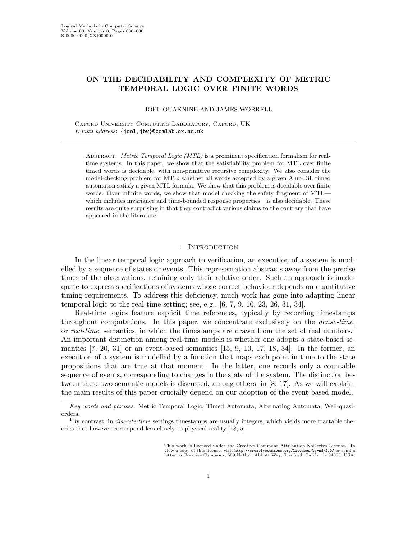# ON THE DECIDABILITY AND COMPLEXITY OF METRIC TEMPORAL LOGIC OVER FINITE WORDS

JOEL¨ OUAKNINE AND JAMES WORRELL

OXFORD UNIVERSITY COMPUTING LABORATORY, OXFORD, UK E-mail address: {joel,jbw}@comlab.ox.ac.uk

ABSTRACT. Metric Temporal Logic (MTL) is a prominent specification formalism for realtime systems. In this paper, we show that the satisfiability problem for MTL over finite timed words is decidable, with non-primitive recursive complexity. We also consider the model-checking problem for MTL: whether all words accepted by a given Alur-Dill timed automaton satisfy a given MTL formula. We show that this problem is decidable over finite words. Over infinite words, we show that model checking the safety fragment of MTLwhich includes invariance and time-bounded response properties—is also decidable. These results are quite surprising in that they contradict various claims to the contrary that have appeared in the literature.

## 1. Introduction

In the linear-temporal-logic approach to verification, an execution of a system is modelled by a sequence of states or events. This representation abstracts away from the precise times of the observations, retaining only their relative order. Such an approach is inadequate to express specifications of systems whose correct behaviour depends on quantitative timing requirements. To address this deficiency, much work has gone into adapting linear temporal logic to the real-time setting; see, e.g., [6, 7, 9, 10, 23, 26, 31, 34].

Real-time logics feature explicit time references, typically by recording timestamps throughout computations. In this paper, we concentrate exclusively on the dense-time, or real-time, semantics, in which the timestamps are drawn from the set of real numbers.<sup>1</sup> An important distinction among real-time models is whether one adopts a state-based semantics  $\begin{bmatrix} 7, 20, 31 \end{bmatrix}$  or an event-based semantics  $\begin{bmatrix} 15, 9, 10, 17, 18, 34 \end{bmatrix}$ . In the former, an execution of a system is modelled by a function that maps each point in time to the state propositions that are true at that moment. In the latter, one records only a countable sequence of events, corresponding to changes in the state of the system. The distinction between these two semantic models is discussed, among others, in [8, 17]. As we will explain, the main results of this paper crucially depend on our adoption of the event-based model.

Key words and phrases. Metric Temporal Logic, Timed Automata, Alternating Automata, Well-quasiorders.

 ${}^{1}$ By contrast, in *discrete-time* settings timestamps are usually integers, which yields more tractable theories that however correspond less closely to physical reality [18, 5].

This work is licensed under the Creative Commons Attribution-NoDerivs License. To view a copy of this license, visit http://creativecommons.org/licenses/by-nd/2.0/ or send a letter to Creative Commons, 559 Nathan Abbott Way, Stanford, California 94305, USA.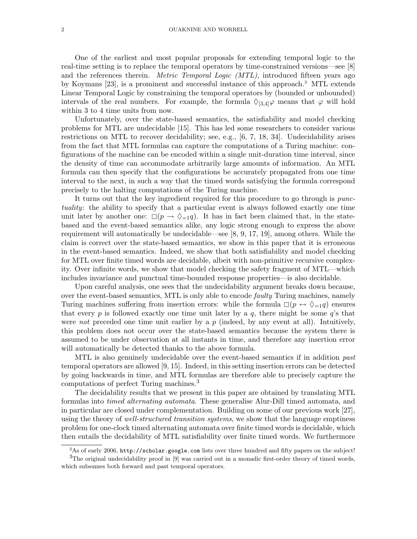One of the earliest and most popular proposals for extending temporal logic to the real-time setting is to replace the temporal operators by time-constrained versions—see [8] and the references therein. *Metric Temporal Logic (MTL)*, introduced fifteen years ago by Koymans [23], is a prominent and successful instance of this approach.<sup>2</sup> MTL extends Linear Temporal Logic by constraining the temporal operators by (bounded or unbounded) intervals of the real numbers. For example, the formula  $\Diamond_{[3,4]} \varphi$  means that  $\varphi$  will hold within 3 to 4 time units from now.

Unfortunately, over the state-based semantics, the satisfiability and model checking problems for MTL are undecidable [15]. This has led some researchers to consider various restrictions on MTL to recover decidability; see, e.g., [6, 7, 18, 34]. Undecidability arises from the fact that MTL formulas can capture the computations of a Turing machine: configurations of the machine can be encoded within a single unit-duration time interval, since the density of time can accommodate arbitrarily large amounts of information. An MTL formula can then specify that the configurations be accurately propagated from one time interval to the next, in such a way that the timed words satisfying the formula correspond precisely to the halting computations of the Turing machine.

It turns out that the key ingredient required for this procedure to go through is punctuality: the ability to specify that a particular event is always followed exactly one time unit later by another one:  $\Box(p \rightarrow \Diamond_{=1}q)$ . It has in fact been claimed that, in the statebased and the event-based semantics alike, any logic strong enough to express the above requirement will automatically be undecidable—see [8, 9, 17, 19], among others. While the claim is correct over the state-based semantics, we show in this paper that it is erroneous in the event-based semantics. Indeed, we show that both satisfiability and model checking for MTL over finite timed words are decidable, albeit with non-primitive recursive complexity. Over infinite words, we show that model checking the safety fragment of MTL—which includes invariance and punctual time-bounded response properties—is also decidable.

Upon careful analysis, one sees that the undecidability argument breaks down because, over the event-based semantics, MTL is only able to encode *faulty* Turing machines, namely Turing machines suffering from insertion errors: while the formula  $\Box(p \leftrightarrow \Diamond_{=1}q)$  ensures that every p is followed exactly one time unit later by a q, there might be some  $q$ 's that were not preceded one time unit earlier by a  $p$  (indeed, by any event at all). Intuitively, this problem does not occur over the state-based semantics because the system there is assumed to be under observation at all instants in time, and therefore any insertion error will automatically be detected thanks to the above formula.

MTL is also genuinely undecidable over the event-based semantics if in addition past temporal operators are allowed [9, 15]. Indeed, in this setting insertion errors can be detected by going backwards in time, and MTL formulas are therefore able to precisely capture the computations of perfect Turing machines.<sup>3</sup>

The decidability results that we present in this paper are obtained by translating MTL formulas into timed alternating automata. These generalise Alur-Dill timed automata, and in particular are closed under complementation. Building on some of our previous work [27], using the theory of well-structured transition systems, we show that the language emptiness problem for one-clock timed alternating automata over finite timed words is decidable, which then entails the decidability of MTL satisfiability over finite timed words. We furthermore

 ${}^{2}$ As of early 2006, http://scholar.google.com lists over three hundred and fifty papers on the subject!  $3$ The original undecidability proof in [9] was carried out in a monadic first-order theory of timed words, which subsumes both forward and past temporal operators.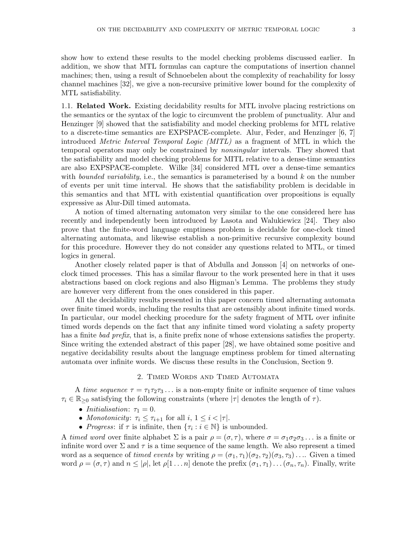show how to extend these results to the model checking problems discussed earlier. In addition, we show that MTL formulas can capture the computations of insertion channel machines; then, using a result of Schnoebelen about the complexity of reachability for lossy channel machines [32], we give a non-recursive primitive lower bound for the complexity of MTL satisfiability.

1.1. Related Work. Existing decidability results for MTL involve placing restrictions on the semantics or the syntax of the logic to circumvent the problem of punctuality. Alur and Henzinger [9] showed that the satisfiability and model checking problems for MTL relative to a discrete-time semantics are EXPSPACE-complete. Alur, Feder, and Henzinger [6, 7] introduced Metric Interval Temporal Logic (MITL) as a fragment of MTL in which the temporal operators may only be constrained by nonsingular intervals. They showed that the satisfiability and model checking problems for MITL relative to a dense-time semantics are also EXPSPACE-complete. Wilke [34] considered MTL over a dense-time semantics with *bounded variability*, i.e., the semantics is parameterised by a bound  $k$  on the number of events per unit time interval. He shows that the satisfiability problem is decidable in this semantics and that MTL with existential quantification over propositions is equally expressive as Alur-Dill timed automata.

A notion of timed alternating automaton very similar to the one considered here has recently and independently been introduced by Lasota and Walukiewicz [24]. They also prove that the finite-word language emptiness problem is decidable for one-clock timed alternating automata, and likewise establish a non-primitive recursive complexity bound for this procedure. However they do not consider any questions related to MTL, or timed logics in general.

Another closely related paper is that of Abdulla and Jonsson [4] on networks of oneclock timed processes. This has a similar flavour to the work presented here in that it uses abstractions based on clock regions and also Higman's Lemma. The problems they study are however very different from the ones considered in this paper.

All the decidability results presented in this paper concern timed alternating automata over finite timed words, including the results that are ostensibly about infinite timed words. In particular, our model checking procedure for the safety fragment of MTL over infinite timed words depends on the fact that any infinite timed word violating a safety property has a finite bad prefix, that is, a finite prefix none of whose extensions satisfies the property. Since writing the extended abstract of this paper [28], we have obtained some positive and negative decidability results about the language emptiness problem for timed alternating automata over infinite words. We discuss these results in the Conclusion, Section 9.

## 2. Timed Words and Timed Automata

A time sequence  $\tau = \tau_1 \tau_2 \tau_3 \ldots$  is a non-empty finite or infinite sequence of time values  $\tau_i \in \mathbb{R}_{\geq 0}$  satisfying the following constraints (where  $|\tau|$  denotes the length of  $\tau$ ).

- Initialisation:  $\tau_1 = 0$ .
- Monotonicity:  $\tau_i \leq \tau_{i+1}$  for all  $i, 1 \leq i < |\tau|$ .
- Progress: if  $\tau$  is infinite, then  $\{\tau_i : i \in \mathbb{N}\}\$ is unbounded.

A timed word over finite alphabet  $\Sigma$  is a pair  $\rho = (\sigma, \tau)$ , where  $\sigma = \sigma_1 \sigma_2 \sigma_3 \dots$  is a finite or infinite word over  $\Sigma$  and  $\tau$  is a time sequence of the same length. We also represent a timed word as a sequence of timed events by writing  $\rho = (\sigma_1, \tau_1)(\sigma_2, \tau_2)(\sigma_3, \tau_3) \dots$  Given a timed word  $\rho = (\sigma, \tau)$  and  $n \leq |\rho|$ , let  $\rho[1 \dots n]$  denote the prefix  $(\sigma_1, \tau_1) \dots (\sigma_n, \tau_n)$ . Finally, write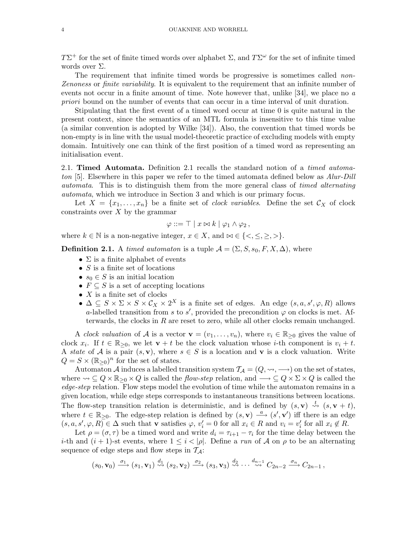TΣ<sup>+</sup> for the set of finite timed words over alphabet  $\Sigma$ , and  $T\Sigma^{\omega}$  for the set of infinite timed words over Σ.

The requirement that infinite timed words be progressive is sometimes called *non*-Zenoness or finite variability. It is equivalent to the requirement that an infinite number of events not occur in a finite amount of time. Note however that, unlike [34], we place no a priori bound on the number of events that can occur in a time interval of unit duration.

Stipulating that the first event of a timed word occur at time 0 is quite natural in the present context, since the semantics of an MTL formula is insensitive to this time value (a similar convention is adopted by Wilke [34]). Also, the convention that timed words be non-empty is in line with the usual model-theoretic practice of excluding models with empty domain. Intuitively one can think of the first position of a timed word as representing an initialisation event.

2.1. **Timed Automata.** Definition 2.1 recalls the standard notion of a *timed automa*ton [5]. Elsewhere in this paper we refer to the timed automata defined below as Alur-Dill automata. This is to distinguish them from the more general class of timed alternating automata, which we introduce in Section 3 and which is our primary focus.

Let  $X = \{x_1, \ldots, x_n\}$  be a finite set of *clock variables*. Define the set  $\mathcal{C}_X$  of clock constraints over  $X$  by the grammar

$$
\varphi ::= \top | x \bowtie k | \varphi_1 \wedge \varphi_2,
$$

where  $k \in \mathbb{N}$  is a non-negative integer,  $x \in X$ , and  $\infty \in \{ \langle \leq, \leq, \geq, \rangle \}.$ 

**Definition 2.1.** A timed automaton is a tuple  $\mathcal{A} = (\Sigma, S, s_0, F, X, \Delta)$ , where

- $\Sigma$  is a finite alphabet of events
- $S$  is a finite set of locations
- $s_0 \in S$  is an initial location
- $F \subseteq S$  is a set of accepting locations
- $X$  is a finite set of clocks
- $\Delta \subseteq S \times \Sigma \times S \times C_X \times 2^X$  is a finite set of edges. An edge  $(s, a, s', \varphi, R)$  allows a-labelled transition from s to s', provided the precondition  $\varphi$  on clocks is met. Afterwards, the clocks in  $R$  are reset to zero, while all other clocks remain unchanged.

A clock valuation of A is a vector  $\mathbf{v} = (v_1, \ldots, v_n)$ , where  $v_i \in \mathbb{R}_{\geq 0}$  gives the value of clock  $x_i$ . If  $t \in \mathbb{R}_{\geq 0}$ , we let  $\mathbf{v} + t$  be the clock valuation whose *i*-th component is  $v_i + t$ . A state of A is a pair  $(s, v)$ , where  $s \in S$  is a location and v is a clock valuation. Write  $Q = S \times (\mathbb{R}_{\geq 0})^n$  for the set of states.

Automaton A induces a labelled transition system  $\mathcal{T}_{\mathcal{A}} = (Q, \rightarrow, \rightarrow)$  on the set of states, where  $\leadsto \subseteq Q \times \mathbb{R}_{\geq 0} \times Q$  is called the flow-step relation, and  $\longrightarrow \subseteq Q \times \Sigma \times Q$  is called the edge-step relation. Flow steps model the evolution of time while the automaton remains in a given location, while edge steps corresponds to instantaneous transitions between locations. The flow-step transition relation is deterministic, and is defined by  $(s, v) \stackrel{t}{\leadsto} (s, v + t)$ , where  $t \in \mathbb{R}_{\geq 0}$ . The edge-step relation is defined by  $(s, \mathbf{v}) \stackrel{a}{\longrightarrow} (s', \mathbf{v}')$  iff there is an edge  $(s, a, s', \varphi, R) \in \Delta$  such that **v** satisfies  $\varphi, v_i' = 0$  for all  $x_i \in R$  and  $v_i = v_i'$  for all  $x_i \notin R$ .

Let  $\rho = (\sigma, \tau)$  be a timed word and write  $d_i = \tau_{i+1} - \tau_i$  for the time delay between the *i*-th and  $(i + 1)$ -st events, where  $1 \leq i < |\rho|$ . Define a run of A on  $\rho$  to be an alternating sequence of edge steps and flow steps in  $\mathcal{T}_{\mathcal{A}}$ :

$$
(s_0, \mathbf{v}_0) \xrightarrow{\sigma_1} (s_1, \mathbf{v}_1) \xrightarrow{d_1} (s_2, \mathbf{v}_2) \xrightarrow{\sigma_2} (s_3, \mathbf{v}_3) \xrightarrow{d_2} \cdots \xrightarrow{d_{n-1}} C_{2n-2} \xrightarrow{\sigma_n} C_{2n-1},
$$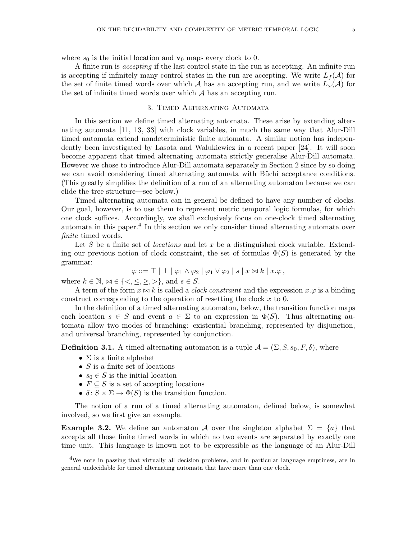where  $s_0$  is the initial location and  $\mathbf{v}_0$  maps every clock to 0.

A finite run is accepting if the last control state in the run is accepting. An infinite run is accepting if infinitely many control states in the run are accepting. We write  $L_f(\mathcal{A})$  for the set of finite timed words over which A has an accepting run, and we write  $L_{\omega}(\mathcal{A})$  for the set of infinite timed words over which  $A$  has an accepting run.

## 3. Timed Alternating Automata

In this section we define timed alternating automata. These arise by extending alternating automata [11, 13, 33] with clock variables, in much the same way that Alur-Dill timed automata extend nondeterministic finite automata. A similar notion has independently been investigated by Lasota and Walukiewicz in a recent paper [24]. It will soon become apparent that timed alternating automata strictly generalise Alur-Dill automata. However we chose to introduce Alur-Dill automata separately in Section 2 since by so doing we can avoid considering timed alternating automata with Büchi acceptance conditions. (This greatly simplifies the definition of a run of an alternating automaton because we can elide the tree structure—see below.)

Timed alternating automata can in general be defined to have any number of clocks. Our goal, however, is to use them to represent metric temporal logic formulas, for which one clock suffices. Accordingly, we shall exclusively focus on one-clock timed alternating automata in this paper.<sup>4</sup> In this section we only consider timed alternating automata over finite timed words.

Let S be a finite set of *locations* and let x be a distinguished clock variable. Extending our previous notion of clock constraint, the set of formulas  $\Phi(S)$  is generated by the grammar:

 $\varphi ::= \top | \bot | \varphi_1 \wedge \varphi_2 | \varphi_1 \vee \varphi_2 | s | x \bowtie k | x \varphi,$ 

where  $k \in \mathbb{N}$ ,  $\bowtie \in \{ \langle \langle \langle \rangle, \rangle \rangle \}$ , and  $s \in S$ .

A term of the form  $x \bowtie k$  is called a *clock constraint* and the expression  $x.\varphi$  is a binding construct corresponding to the operation of resetting the clock  $x$  to 0.

In the definition of a timed alternating automaton, below, the transition function maps each location  $s \in S$  and event  $a \in \Sigma$  to an expression in  $\Phi(S)$ . Thus alternating automata allow two modes of branching: existential branching, represented by disjunction, and universal branching, represented by conjunction.

**Definition 3.1.** A timed alternating automaton is a tuple  $\mathcal{A} = (\Sigma, S, s_0, F, \delta)$ , where

- $\Sigma$  is a finite alphabet
- $S$  is a finite set of locations
- $s_0 \in S$  is the initial location
- $F \subseteq S$  is a set of accepting locations
- $\delta: S \times \Sigma \to \Phi(S)$  is the transition function.

The notion of a run of a timed alternating automaton, defined below, is somewhat involved, so we first give an example.

**Example 3.2.** We define an automaton A over the singleton alphabet  $\Sigma = \{a\}$  that accepts all those finite timed words in which no two events are separated by exactly one time unit. This language is known not to be expressible as the language of an Alur-Dill

<sup>&</sup>lt;sup>4</sup>We note in passing that virtually all decision problems, and in particular language emptiness, are in general undecidable for timed alternating automata that have more than one clock.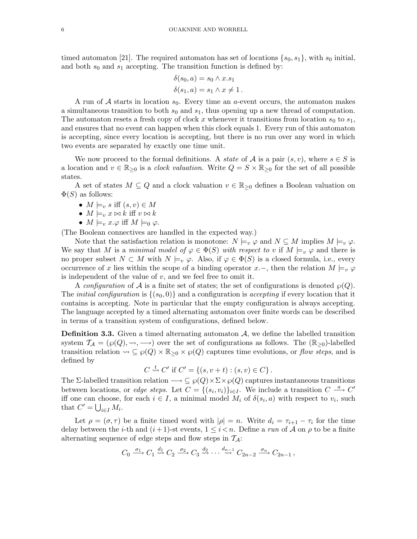timed automaton [21]. The required automaton has set of locations  $\{s_0, s_1\}$ , with  $s_0$  initial, and both  $s_0$  and  $s_1$  accepting. The transition function is defined by:

$$
\delta(s_0, a) = s_0 \wedge x.s_1
$$
  

$$
\delta(s_1, a) = s_1 \wedge x \neq 1.
$$

A run of A starts in location  $s_0$ . Every time an a-event occurs, the automaton makes a simultaneous transition to both  $s_0$  and  $s_1$ , thus opening up a new thread of computation. The automaton resets a fresh copy of clock x whenever it transitions from location  $s_0$  to  $s_1$ , and ensures that no event can happen when this clock equals 1. Every run of this automaton is accepting, since every location is accepting, but there is no run over any word in which two events are separated by exactly one time unit.

We now proceed to the formal definitions. A *state* of A is a pair  $(s, v)$ , where  $s \in S$  is a location and  $v \in \mathbb{R}_{\geq 0}$  is a *clock valuation*. Write  $Q = S \times \mathbb{R}_{\geq 0}$  for the set of all possible states.

A set of states  $M \subseteq Q$  and a clock valuation  $v \in \mathbb{R}_{\geq 0}$  defines a Boolean valuation on  $\Phi(S)$  as follows:

- $M \models_v s \text{ iff } (s, v) \in M$
- $M \models_v x \bowtie k$  iff  $v \bowtie k$
- $M \models_v x.\varphi$  iff  $M \models_0 \varphi$ .

(The Boolean connectives are handled in the expected way.)

Note that the satisfaction relation is monotone:  $N \models_v \varphi$  and  $N \subseteq M$  implies  $M \models_v \varphi$ . We say that M is a minimal model of  $\varphi \in \Phi(S)$  with respect to v if  $M \models_v \varphi$  and there is no proper subset  $N \subset M$  with  $N \models_v \varphi$ . Also, if  $\varphi \in \Phi(S)$  is a closed formula, i.e., every occurrence of x lies within the scope of a binding operator x.–, then the relation  $M \models_{v} \varphi$ is independent of the value of  $v$ , and we feel free to omit it.

A configuration of A is a finite set of states; the set of configurations is denoted  $\wp(Q)$ . The *initial configuration* is  $\{(s_0, 0)\}\$ and a configuration is *accepting* if every location that it contains is accepting. Note in particular that the empty configuration is always accepting. The language accepted by a timed alternating automaton over finite words can be described in terms of a transition system of configurations, defined below.

**Definition 3.3.** Given a timed alternating automaton  $A$ , we define the labelled transition system  $\mathcal{T}_{\mathcal{A}} = (\wp(Q), \leadsto, \longrightarrow)$  over the set of configurations as follows. The  $(\mathbb{R}_{\geq 0})$ -labelled transition relation  $\leadsto \subseteq \wp(Q) \times \mathbb{R}_{\geq 0} \times \wp(Q)$  captures time evolutions, or flow steps, and is defined by

$$
C \stackrel{t}{\rightsquigarrow} C' \text{ if } C' = \{(s, v + t) : (s, v) \in C\}.
$$

The Σ-labelled transition relation  $\longrightarrow \subseteq \wp(Q) \times \Sigma \times \wp(Q)$  captures instantaneous transitions between locations, or *edge steps*. Let  $C = \{(s_i, v_i)\}_{i \in I}$ . We include a transition  $C \stackrel{a}{\longrightarrow} C'$ iff one can choose, for each  $i \in I$ , a minimal model  $M_i$  of  $\delta(s_i, a)$  with respect to  $v_i$ , such that  $C' = \bigcup_{i \in I} M_i$ .

Let  $\rho = (\sigma, \tau)$  be a finite timed word with  $|\rho| = n$ . Write  $d_i = \tau_{i+1} - \tau_i$  for the time delay between the *i*-th and  $(i+1)$ -st events,  $1 \leq i \leq n$ . Define a run of A on  $\rho$  to be a finite alternating sequence of edge steps and flow steps in  $\mathcal{T}_{\mathcal{A}}$ :

$$
C_0 \xrightarrow{\sigma_1} C_1 \xrightarrow{d_1} C_2 \xrightarrow{\sigma_2} C_3 \xrightarrow{d_2} \cdots \xrightarrow{d_{n-1}} C_{2n-2} \xrightarrow{\sigma_n} C_{2n-1},
$$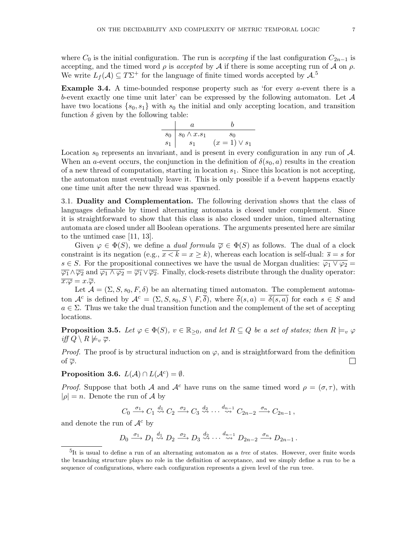where  $C_0$  is the initial configuration. The run is *accepting* if the last configuration  $C_{2n-1}$  is accepting, and the timed word  $\rho$  is accepted by  $\mathcal A$  if there is some accepting run of  $\mathcal A$  on  $\rho$ . We write  $L_f(\mathcal{A}) \subseteq T\Sigma^+$  for the language of finite timed words accepted by  $\mathcal{A}$ .<sup>5</sup>

Example 3.4. A time-bounded response property such as 'for every a-event there is a b-event exactly one time unit later' can be expressed by the following automaton. Let  $\mathcal A$ have two locations  $\{s_0, s_1\}$  with  $s_0$  the initial and only accepting location, and transition function  $\delta$  given by the following table:

$$
\begin{array}{c|cc}\n & a & b \\
\hline\ns_0 & s_0 \wedge x.s_1 & s_0 \\
s_1 & s_1 & (x = 1) \vee s_1\n\end{array}
$$

Location  $s_0$  represents an invariant, and is present in every configuration in any run of  $A$ . When an *a*-event occurs, the conjunction in the definition of  $\delta(s_0, a)$  results in the creation of a new thread of computation, starting in location  $s_1$ . Since this location is not accepting, the automaton must eventually leave it. This is only possible if a b-event happens exactly one time unit after the new thread was spawned.

3.1. Duality and Complementation. The following derivation shows that the class of languages definable by timed alternating automata is closed under complement. Since it is straightforward to show that this class is also closed under union, timed alternating automata are closed under all Boolean operations. The arguments presented here are similar to the untimed case [11, 13].

Given  $\varphi \in \Phi(S)$ , we define a *dual formula*  $\overline{\varphi} \in \Phi(S)$  as follows. The dual of a clock constraint is its negation (e.g.,  $\overline{x} \le k = x \ge k$ ), whereas each location is self-dual:  $\overline{s} = s$  for  $s \in S$ . For the propositional connectives we have the usual de Morgan dualities:  $\overline{\varphi_1 \vee \varphi_2} =$  $\overline{\varphi_1} \wedge \overline{\varphi_2}$  and  $\overline{\varphi_1} \wedge \varphi_2 = \overline{\varphi_1} \vee \overline{\varphi_2}$ . Finally, clock-resets distribute through the duality operator:  $\overline{x.\varphi} = x.\overline{\varphi}.$ 

Let  $\mathcal{A} = (\Sigma, S, s_0, F, \delta)$  be an alternating timed automaton. The complement automaton  $\mathcal{A}^c$  is defined by  $\mathcal{A}^c = (\Sigma, S, s_0, S \setminus F, \overline{\delta})$ , where  $\overline{\delta}(s, a) = \overline{\delta(s, a)}$  for each  $s \in S$  and  $a \in \Sigma$ . Thus we take the dual transition function and the complement of the set of accepting locations.

**Proposition 3.5.** Let  $\varphi \in \Phi(S)$ ,  $v \in \mathbb{R}_{\geq 0}$ , and let  $R \subseteq Q$  be a set of states; then  $R \models_v \varphi$ iff  $Q \setminus R \not\models_{v} \overline{\varphi}$ .

*Proof.* The proof is by structural induction on  $\varphi$ , and is straightforward from the definition of  $\overline{\varphi}$ .  $\mathsf{I}$ 

# Proposition 3.6.  $L(\mathcal{A}) \cap L(\mathcal{A}^c) = \emptyset$ .

*Proof.* Suppose that both A and  $A^c$  have runs on the same timed word  $\rho = (\sigma, \tau)$ , with  $|\rho| = n$ . Denote the run of A by

$$
C_0 \xrightarrow{\sigma_1} C_1 \xrightarrow{d_1} C_2 \xrightarrow{\sigma_2} C_3 \xrightarrow{d_2} \cdots \xrightarrow{d_{n-1}} C_{2n-2} \xrightarrow{\sigma_n} C_{2n-1},
$$

and denote the run of  $\mathcal{A}^c$  by

$$
D_0 \xrightarrow{\sigma_1} D_1 \xrightarrow{d_1} D_2 \xrightarrow{\sigma_2} D_3 \xrightarrow{d_2} \cdots \xrightarrow{d_{n-1}} D_{2n-2} \xrightarrow{\sigma_n} D_{2n-1}.
$$

 ${}^{5}$ It is usual to define a run of an alternating automaton as a *tree* of states. However, over finite words the branching structure plays no role in the definition of acceptance, and we simply define a run to be a sequence of configurations, where each configuration represents a given level of the run tree.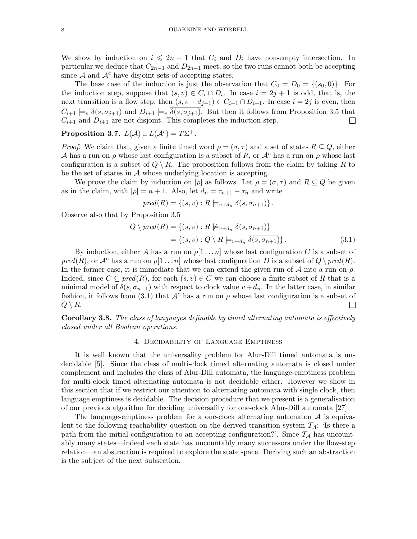We show by induction on  $i \leq 2n - 1$  that  $C_i$  and  $D_i$  have non-empty intersection. In particular we deduce that  $C_{2n-1}$  and  $D_{2n-1}$  meet, so the two runs cannot both be accepting since  $A$  and  $A<sup>c</sup>$  have disjoint sets of accepting states.

The base case of the induction is just the observation that  $C_0 = D_0 = \{(s_0, 0)\}\.$  For the induction step, suppose that  $(s, v) \in C_i \cap D_i$ . In case  $i = 2j + 1$  is odd, that is, the next transition is a flow step, then  $(s, v + d_{j+1}) \in C_{i+1} \cap D_{i+1}$ . In case  $i = 2j$  is even, then  $C_{i+1} \models_v \delta(s, \sigma_{j+1})$  and  $D_{i+1} \models_v \overline{\delta(s, \sigma_{j+1})}$ . But then it follows from Proposition 3.5 that  $C_{i+1}$  and  $D_{i+1}$  are not disjoint. This completes the induction step. ⊔

# Proposition 3.7.  $L(\mathcal{A}) \cup L(\mathcal{A}^c) = T\Sigma^+$ .

*Proof.* We claim that, given a finite timed word  $\rho = (\sigma, \tau)$  and a set of states  $R \subseteq Q$ , either A has a run on  $\rho$  whose last configuration is a subset of R, or  $\mathcal{A}^c$  has a run on  $\rho$  whose last configuration is a subset of  $Q \setminus R$ . The proposition follows from the claim by taking R to be the set of states in A whose underlying location is accepting.

We prove the claim by induction on  $|\rho|$  as follows. Let  $\rho = (\sigma, \tau)$  and  $R \subseteq Q$  be given as in the claim, with  $|\rho| = n + 1$ . Also, let  $d_n = \tau_{n+1} - \tau_n$  and write

$$
pred(R) = \{(s, v) : R \models_{v+d_n} \delta(s, \sigma_{n+1})\}.
$$

Observe also that by Proposition 3.5

$$
Q \setminus pred(R) = \{(s, v) : R \not\models_{v+d_n} \delta(s, \sigma_{n+1})\}
$$

$$
= \{(s, v) : Q \setminus R \models_{v+d_n} \overline{\delta(s, \sigma_{n+1})}\}.
$$
(3.1)

By induction, either A has a run on  $\rho[1 \dots n]$  whose last configuration C is a subset of  $pred(R)$ , or  $\mathcal{A}^c$  has a run on  $\rho[1 \dots n]$  whose last configuration D is a subset of  $Q \setminus pred(R)$ . In the former case, it is immediate that we can extend the given run of  $\mathcal A$  into a run on  $\rho$ . Indeed, since  $C \subseteq pred(R)$ , for each  $(s, v) \in C$  we can choose a finite subset of R that is a minimal model of  $\delta(s, \sigma_{n+1})$  with respect to clock value  $v + d_n$ . In the latter case, in similar fashion, it follows from (3.1) that  $A^c$  has a run on  $\rho$  whose last configuration is a subset of  $Q \setminus R$ . ∐

Corollary 3.8. The class of languages definable by timed alternating automata is effectively closed under all Boolean operations.

## 4. Decidability of Language Emptiness

It is well known that the universality problem for Alur-Dill timed automata is undecidable [5]. Since the class of multi-clock timed alternating automata is closed under complement and includes the class of Alur-Dill automata, the language-emptiness problem for multi-clock timed alternating automata is not decidable either. However we show in this section that if we restrict our attention to alternating automata with single clock, then language emptiness is decidable. The decision procedure that we present is a generalisation of our previous algorithm for deciding universality for one-clock Alur-Dill automata [27].

The language-emptiness problem for a one-clock alternating automaton  $\mathcal A$  is equivalent to the following reachability question on the derived transition system  $\mathcal{T}_{\mathcal{A}}$ : 'Is there a path from the initial configuration to an accepting configuration?'. Since  $\mathcal{T}_A$  has uncountably many states—indeed each state has uncountably many successors under the flow-step relation—an abstraction is required to explore the state space. Deriving such an abstraction is the subject of the next subsection.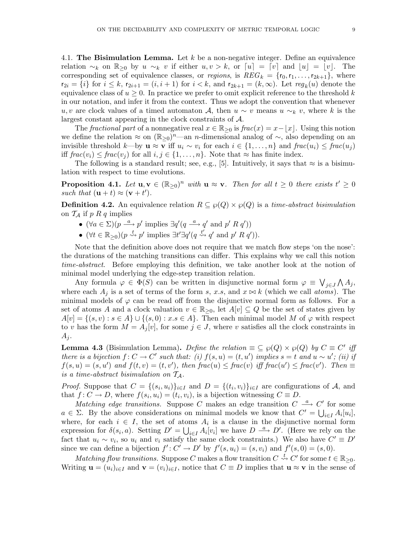4.1. The Bisimulation Lemma. Let  $k$  be a non-negative integer. Define an equivalence relation  $\sim_k$  on  $\mathbb{R}_{\geq 0}$  by  $u \sim_k v$  if either  $u, v > k$ , or  $[u] = [v]$  and  $|u| = |v|$ . The corresponding set of equivalence classes, or *regions*, is  $REG_k = \{r_0, r_1, \ldots, r_{2k+1}\}\$ , where  $r_{2i} = \{i\}$  for  $i \leq k$ ,  $r_{2i+1} = (i, i+1)$  for  $i < k$ , and  $r_{2k+1} = (k, \infty)$ . Let  $reg_k(u)$  denote the equivalence class of  $u \geq 0$ . In practice we prefer to omit explicit reference to the threshold k in our notation, and infer it from the context. Thus we adopt the convention that whenever u, v are clock values of a timed automaton A, then  $u \sim v$  means  $u \sim_k v$ , where k is the largest constant appearing in the clock constraints of A.

The fractional part of a nonnegative real  $x \in \mathbb{R}_{\geq 0}$  is frac $(x) = x - |x|$ . Using this notion we define the relation  $\approx$  on  $(\mathbb{R}_{\geq 0})^n$ —an *n*-dimensional analog of  $\sim$ , also depending on an invisible threshold k—by  $\mathbf{u} \approx \mathbf{v}$  iff  $u_i \sim v_i$  for each  $i \in \{1, \ldots, n\}$  and  $frac(u_i) \leq frac(u_i)$ iff  $frac(v_i) \leq frac(v_j)$  for all  $i, j \in \{1, ..., n\}$ . Note that  $\approx$  has finite index.

The following is a standard result; see, e.g., [5]. Intuitively, it says that  $\approx$  is a bisimulation with respect to time evolutions.

**Proposition 4.1.** Let  $\mathbf{u}, \mathbf{v} \in (\mathbb{R}_{\geq 0})^n$  with  $\mathbf{u} \approx \mathbf{v}$ . Then for all  $t \geq 0$  there exists  $t' \geq 0$ such that  $(\mathbf{u} + t) \approx (\mathbf{v} + t')$ .

**Definition 4.2.** An equivalence relation  $R \subseteq \wp(Q) \times \wp(Q)$  is a time-abstract bisimulation on  $\mathcal{T}_A$  if p R q implies

- $(\forall a \in \Sigma)(p \stackrel{a}{\longrightarrow} p' \text{ implies } \exists q'(q \stackrel{a}{\longrightarrow} q' \text{ and } p' R q'))$
- $(\forall t \in \mathbb{R}_{\geq 0})(p \stackrel{t}{\leadsto} p' \text{ implies } \exists t' \exists q' (q \stackrel{t'}{\leadsto} q' \text{ and } p' R q')).$

Note that the definition above does not require that we match flow steps 'on the nose': the durations of the matching transitions can differ. This explains why we call this notion time-abstract. Before employing this definition, we take another look at the notion of minimal model underlying the edge-step transition relation.

Any formula  $\varphi \in \Phi(S)$  can be written in disjunctive normal form  $\varphi \equiv \bigvee_{j\in J}\bigwedge A_j$ , where each  $A_i$  is a set of terms of the form s, x.s, and  $x \bowtie k$  (which we call atoms). The minimal models of  $\varphi$  can be read off from the disjunctive normal form as follows. For a set of atoms A and a clock valuation  $v \in \mathbb{R}_{\geq 0}$ , let  $A[v] \subseteq Q$  be the set of states given by  $A[v] = \{(s, v) : s \in A\} \cup \{(s, 0) : x.s \in A\}$ . Then each minimal model M of  $\varphi$  with respect to v has the form  $M = A_i[v]$ , for some  $j \in J$ , where v satisfies all the clock constraints in  $A_i$ .

**Lemma 4.3** (Bisimulation Lemma). Define the relation  $\equiv \subseteq \wp(Q) \times \wp(Q)$  by  $C \equiv C'$  if there is a bijection  $f: C \to C'$  such that: (i)  $f(s, u) = (t, u')$  implies  $s = t$  and  $u \sim u'$ ; (ii) if  $f(s, u) = (s, u')$  and  $f(t, v) = (t, v')$ , then  $frac(u) \leq frac(v)$  iff  $frac(u') \leq frac(v')$ . Then  $\equiv$ is a time-abstract bisimulation on  $T_A$ .

*Proof.* Suppose that  $C = \{(s_i, u_i)\}_{i \in I}$  and  $D = \{(t_i, v_i)\}_{i \in I}$  are configurations of A, and that  $f: C \to D$ , where  $f(s_i, u_i) = (t_i, v_i)$ , is a bijection witnessing  $C \equiv D$ .

Matching edge transitions. Suppose C makes an edge transition  $C \stackrel{a}{\longrightarrow} C'$  for some  $a \in \Sigma$ . By the above considerations on minimal models we know that  $C' = \bigcup_{i \in I} A_i[u_i],$ where, for each  $i \in I$ , the set of atoms  $A_i$  is a clause in the disjunctive normal form expression for  $\delta(s_i, a)$ . Setting  $D' = \bigcup_{i \in I} A_i[v_i]$  we have  $D \stackrel{a}{\longrightarrow} D'$ . (Here we rely on the fact that  $u_i \sim v_i$ , so  $u_i$  and  $v_i$  satisfy the same clock constraints.) We also have  $C' \equiv D'$ since we can define a bijection  $f': C' \to D'$  by  $f'(s, u_i) = (s, v_i)$  and  $f'(s, 0) = (s, 0)$ .

Matching flow transitions. Suppose C makes a flow transition  $C \stackrel{t}{\leadsto} C'$  for some  $t \in \mathbb{R}_{\geq 0}$ . Writing  $\mathbf{u} = (u_i)_{i \in I}$  and  $\mathbf{v} = (v_i)_{i \in I}$ , notice that  $C \equiv D$  implies that  $\mathbf{u} \approx \mathbf{v}$  in the sense of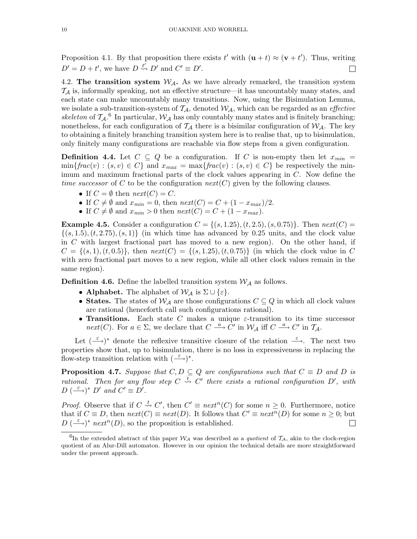Proposition 4.1. By that proposition there exists  $t'$  with  $(\mathbf{u} + t) \approx (\mathbf{v} + t')$ . Thus, writing  $D' = D + t'$ , we have  $D \stackrel{t'}{\rightsquigarrow} D'$  and  $C' \equiv D'$ . П

4.2. The transition system  $\mathcal{W}_{\mathcal{A}}$ . As we have already remarked, the transition system  $\mathcal{T}_\mathcal{A}$  is, informally speaking, not an effective structure—it has uncountably many states, and each state can make uncountably many transitions. Now, using the Bisimulation Lemma, we isolate a sub-transition-system of  $\mathcal{T}_{\mathcal{A}}$ , denoted  $\mathcal{W}_{\mathcal{A}}$ , which can be regarded as an *effective* skeleton of  $\mathcal{T}_{\mathcal{A}}$ .<sup>6</sup> In particular,  $\mathcal{W}_{\mathcal{A}}$  has only countably many states and is finitely branching; nonetheless, for each configuration of  $\mathcal{T}_{\mathcal{A}}$  there is a bisimilar configuration of  $\mathcal{W}_{\mathcal{A}}$ . The key to obtaining a finitely branching transition system here is to realise that, up to bisimulation, only finitely many configurations are reachable via flow steps from a given configuration.

**Definition 4.4.** Let  $C \subseteq Q$  be a configuration. If C is non-empty then let  $x_{min} =$  $\min\{frac(v): (s, v) \in C\}$  and  $x_{max} = \max\{frac(v): (s, v) \in C\}$  be respectively the minimum and maximum fractional parts of the clock values appearing in C. Now define the time successor of C to be the configuration  $next(C)$  given by the following clauses.

- If  $C = \emptyset$  then  $next(C) = C$ .
- If  $C \neq \emptyset$  and  $x_{min} = 0$ , then  $next(C) = C + (1 x_{max})/2$ .
- If  $C \neq \emptyset$  and  $x_{min} > 0$  then  $next(C) = C + (1 x_{max})$ .

**Example 4.5.** Consider a configuration  $C = \{(s, 1.25), (t, 2.5), (s, 0.75)\}\.$  Then  $next(C) =$  $\{(s, 1.5), (t, 2.75), (s, 1)\}\$  (in which time has advanced by 0.25 units, and the clock value in C with largest fractional part has moved to a new region). On the other hand, if  $C = \{(s, 1), (t, 0.5)\}\$ , then  $next(C) = \{(s, 1.25), (t, 0.75)\}\$  (in which the clock value in C with zero fractional part moves to a new region, while all other clock values remain in the same region).

**Definition 4.6.** Define the labelled transition system  $W_A$  as follows.

- Alphabet. The alphabet of  $W_A$  is  $\Sigma \cup \{\varepsilon\}.$
- States. The states of  $W_A$  are those configurations  $C \subseteq Q$  in which all clock values are rational (henceforth call such configurations rational).
- Transitions. Each state C makes a unique  $\varepsilon$ -transition to its time successor next(C). For  $a \in \Sigma$ , we declare that  $C \stackrel{a}{\longrightarrow} \tilde{C}'$  in  $\mathcal{W}_{\mathcal{A}}$  iff  $C \stackrel{a}{\longrightarrow} C'$  in  $\mathcal{T}_{\mathcal{A}}$ .

Let  $(\stackrel{\varepsilon}{\longrightarrow})^*$  denote the reflexive transitive closure of the relation  $\stackrel{\varepsilon}{\longrightarrow}$ . The next two properties show that, up to bisimulation, there is no loss in expressiveness in replacing the flow-step transition relation with  $(\stackrel{\varepsilon}{\longrightarrow})^*$ .

**Proposition 4.7.** Suppose that  $C, D \subseteq Q$  are configurations such that  $C \equiv D$  and D is rational. Then for any flow step  $C \stackrel{t}{\leadsto} C'$  there exists a rational configuration  $D'$ , with  $D\left(\stackrel{\varepsilon}{\longrightarrow}\right)^* D'$  and  $C' \equiv D'.$ 

*Proof.* Observe that if  $C \stackrel{t}{\leadsto} C'$ , then  $C' \equiv next^n(C)$  for some  $n \geq 0$ . Furthermore, notice that if  $C \equiv D$ , then  $next(C) \equiv next(D)$ . It follows that  $C' \equiv next^n(D)$  for some  $n \geq 0$ ; but  $D\left(\frac{\varepsilon}{\varepsilon}\right)^*$  next<sup>n</sup>(D), so the proposition is established.  $\Box$ 

<sup>&</sup>lt;sup>6</sup>In the extended abstract of this paper  $W_A$  was described as a *quotient* of  $\mathcal{T}_A$ , akin to the clock-region quotient of an Alur-Dill automaton. However in our opinion the technical details are more straightforward under the present approach.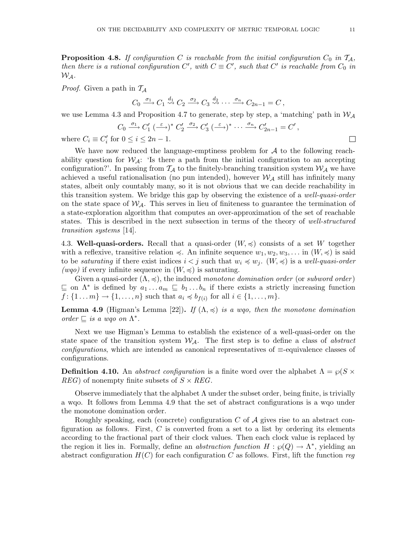**Proposition 4.8.** If configuration C is reachable from the initial configuration  $C_0$  in  $\mathcal{T}_A$ , then there is a rational configuration  $C'$ , with  $C \equiv C'$ , such that  $C'$  is reachable from  $C_0$  in  $W_A$ .

*Proof.* Given a path in  $T_A$ 

 $C_0 \xrightarrow{\sigma_1} C_1 \stackrel{d_1}{\rightsquigarrow} C_2 \xrightarrow{\sigma_2} C_3 \stackrel{d_2}{\rightsquigarrow} \cdots \xrightarrow{\sigma_n} C_{2n-1} = C,$ 

we use Lemma 4.3 and Proposition 4.7 to generate, step by step, a 'matching' path in  $\mathcal{W}_A$ 

$$
C_0 \xrightarrow{\sigma_1} C_1' \xrightarrow{(\varepsilon)}^* C_2' \xrightarrow{\sigma_2} C_3' \xrightarrow{(\varepsilon)}^* \cdots \xrightarrow{\sigma_n} C_{2n-1}' = C',
$$
  
or  $0 < i < 2n - 1$ .

where  $C_i \equiv C'_i$  for  $0 \le i \le 2n - 1$ .

We have now reduced the language-emptiness problem for  $A$  to the following reachability question for  $W_A$ : 'Is there a path from the initial configuration to an accepting configuration?'. In passing from  $\mathcal{T}_{\mathcal{A}}$  to the finitely-branching transition system  $\mathcal{W}_{\mathcal{A}}$  we have achieved a useful rationalisation (no pun intended), however  $\mathcal{W}_{\mathcal{A}}$  still has infinitely many states, albeit only countably many, so it is not obvious that we can decide reachability in this transition system. We bridge this gap by observing the existence of a *well-quasi-order* on the state space of  $W_A$ . This serves in lieu of finiteness to guarantee the termination of a state-exploration algorithm that computes an over-approximation of the set of reachable states. This is described in the next subsection in terms of the theory of well-structured transition systems [14].

4.3. Well-quasi-orders. Recall that a quasi-order  $(W, \preccurlyeq)$  consists of a set W together with a reflexive, transitive relation  $\preccurlyeq$ . An infinite sequence  $w_1, w_2, w_3, \ldots$  in  $(W, \preccurlyeq)$  is said to be *saturating* if there exist indices  $i < j$  such that  $w_i \preccurlyeq w_j$ .  $(W, \preccurlyeq)$  is a well-quasi-order (wqo) if every infinite sequence in  $(W, \preccurlyeq)$  is saturating.

Given a quasi-order  $(\Lambda, \preccurlyeq)$ , the induced monotone domination order (or subword order)  $\subseteq$  on  $\Lambda^*$  is defined by  $a_1 \ldots a_m \subseteq b_1 \ldots b_n$  if there exists a strictly increasing function  $f: \{1 \dots m\} \to \{1, \dots, n\}$  such that  $a_i \preccurlyeq b_{f(i)}$  for all  $i \in \{1, \dots, m\}$ .

**Lemma 4.9** (Higman's Lemma [22]). If  $(\Lambda, \preccurlyeq)$  is a wqo, then the monotone domination order  $\sqsubseteq$  is a wqo on  $\Lambda^*$ .

Next we use Higman's Lemma to establish the existence of a well-quasi-order on the state space of the transition system  $W_A$ . The first step is to define a class of abstract configurations, which are intended as canonical representatives of ≡-equivalence classes of configurations.

**Definition 4.10.** An abstract configuration is a finite word over the alphabet  $\Lambda = \wp(S \times \mathbb{R})$ REG) of nonempty finite subsets of  $S \times REG$ .

Observe immediately that the alphabet  $\Lambda$  under the subset order, being finite, is trivially a wqo. It follows from Lemma 4.9 that the set of abstract configurations is a wqo under the monotone domination order.

Roughly speaking, each (concrete) configuration  $C$  of  $A$  gives rise to an abstract configuration as follows. First, C is converted from a set to a list by ordering its elements according to the fractional part of their clock values. Then each clock value is replaced by the region it lies in. Formally, define an *abstraction function*  $H : \wp(Q) \to \Lambda^*$ , yielding an abstract configuration  $H(C)$  for each configuration C as follows. First, lift the function reg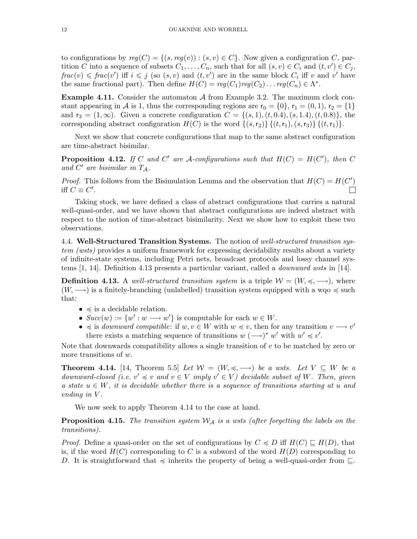to configurations by  $reg(C) = \{(s, reg(v)) : (s, v) \in C\}$ . Now given a configuration C, partition C into a sequence of subsets  $C_1, \ldots, C_n$ , such that for all  $(s, v) \in C_i$  and  $(t, v') \in C_j$ ,  $frac(v) \leq frac(v')$  iff  $i \leq j$  (so  $(s, v)$  and  $(t, v')$  are in the same block  $C_i$  iff v and v' have the same fractional part). Then define  $H(C) = reg(C_1)reg(C_2) \dots reg(C_n) \in \Lambda^*$ .

**Example 4.11.** Consider the automaton  $A$  from Example 3.2. The maximum clock constant appearing in A is 1, thus the corresponding regions are  $r_0 = \{0\}$ ,  $r_1 = (0, 1)$ ,  $r_2 = \{1\}$ and  $r_3 = (1, \infty)$ . Given a concrete configuration  $C = \{(s, 1), (t, 0.4), (s, 1.4), (t, 0.8)\}\,$  the corresponding abstract configuration  $H(C)$  is the word  $\{(s,r_2)\}\{(t,r_1),(s,r_3)\}\{(t,r_1)\}.$ 

Next we show that concrete configurations that map to the same abstract configuration are time-abstract bisimilar.

**Proposition 4.12.** If C and C' are A-configurations such that  $H(C) = H(C')$ , then C and  $C'$  are bisimilar in  $T_A$ .

*Proof.* This follows from the Bisimulation Lemma and the observation that  $H(C) = H(C')$ iff  $C \equiv C'$ .  $\Box$ 

Taking stock, we have defined a class of abstract configurations that carries a natural well-quasi-order, and we have shown that abstract configurations are indeed abstract with respect to the notion of time-abstract bisimilarity. Next we show how to exploit these two observations.

4.4. Well-Structured Transition Systems. The notion of well-structured transition system (wsts) provides a uniform framework for expressing decidability results about a variety of infinite-state systems, including Petri nets, broadcast protocols and lossy channel systems  $[1, 14]$ . Definition 4.13 presents a particular variant, called a *downward wsts* in  $[14]$ .

**Definition 4.13.** A well-structured transition system is a triple  $\mathcal{W} = (W, \preccurlyeq, \longrightarrow)$ , where  $(W, \longrightarrow)$  is a finitely-branching (unlabelled) transition system equipped with a wqo  $\preccurlyeq$  such that:

- $\leq$  is a decidable relation.
- $Succ(w) := \{w' : w \longrightarrow w'\}$  is computable for each  $w \in W$ .
- $\preccurlyeq$  is downward compatible: if  $w, v \in W$  with  $w \preccurlyeq v$ , then for any transition  $v \longrightarrow v'$ there exists a matching sequence of transitions  $w \ (\rightarrow)^* w'$  with  $w' \preccurlyeq v'$ .

Note that downwards compatibility allows a single transition of v to be matched by zero or more transitions of w.

**Theorem 4.14.** [14, Theorem 5.5] Let  $W = (W, \preccurlyeq, \longrightarrow)$  be a wsts. Let  $V \subseteq W$  be a downward-closed (i.e.  $v' \preccurlyeq v$  and  $v \in V$  imply  $v' \in V$ ) decidable subset of W. Then, given a state  $u \in W$ , it is decidable whether there is a sequence of transitions starting at u and ending in V.

We now seek to apply Theorem 4.14 to the case at hand.

**Proposition 4.15.** The transition system  $W_A$  is a wsts (after forgetting the labels on the transitions).

*Proof.* Define a quasi-order on the set of configurations by  $C \preccurlyeq D$  iff  $H(C) \sqsubseteq H(D)$ , that is, if the word  $H(C)$  corresponding to C is a subword of the word  $H(D)$  corresponding to D. It is straightforward that  $\preccurlyeq$  inherits the property of being a well-quasi-order from  $\sqsubseteq$ .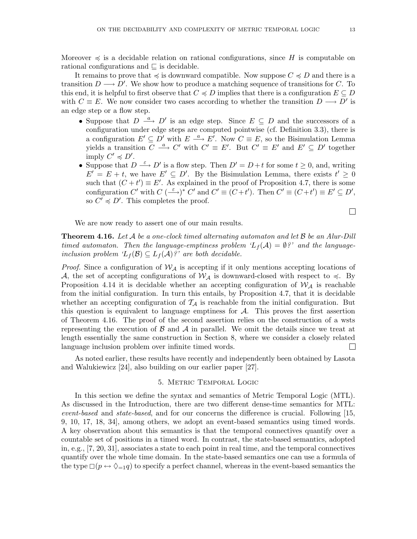Moreover  $\preccurlyeq$  is a decidable relation on rational configurations, since H is computable on rational configurations and  $\subseteq$  is decidable.

It remains to prove that  $\preccurlyeq$  is downward compatible. Now suppose  $C \preccurlyeq D$  and there is a transition  $D \longrightarrow D'$ . We show how to produce a matching sequence of transitions for C. To this end, it is helpful to first observe that  $C \preccurlyeq D$  implies that there is a configuration  $E \subseteq D$ with  $C \equiv E$ . We now consider two cases according to whether the transition  $D \longrightarrow D'$  is an edge step or a flow step.

- Suppose that  $D \stackrel{a}{\longrightarrow} D'$  is an edge step. Since  $E \subseteq D$  and the successors of a configuration under edge steps are computed pointwise (cf. Definition 3.3), there is a configuration  $E' \subseteq D'$  with  $E \stackrel{a}{\longrightarrow} E'$ . Now  $C \equiv E$ , so the Bisimulation Lemma yields a transition  $C \stackrel{a}{\longrightarrow} C'$  with  $C' \equiv E'$ . But  $C' \equiv E'$  and  $E' \subseteq D'$  together imply  $C' \preccurlyeq D'$ .
- Suppose that  $D \stackrel{\varepsilon}{\longrightarrow} D'$  is a flow step. Then  $D' = D + t$  for some  $t \geq 0$ , and, writing  $E' = E + t$ , we have  $E' \subseteq D'$ . By the Bisimulation Lemma, there exists  $t' \geq 0$ such that  $(C + t') \equiv E'$ . As explained in the proof of Proposition 4.7, there is some configuration C' with  $C \left(\stackrel{\varepsilon}{\longrightarrow}\right)^* C'$  and  $C' \equiv (C+t')$ . Then  $C' \equiv (C+t') \equiv E' \subseteq D'$ , so  $C' \preccurlyeq D'$ . This completes the proof.

We are now ready to assert one of our main results.

**Theorem 4.16.** Let A be a one-clock timed alternating automaton and let  $\beta$  be an Alur-Dill timed automaton. Then the language-emptiness problem  $L_f(\mathcal{A}) = \emptyset$ ?' and the languageinclusion problem  $L_f(\mathcal{B}) \subseteq L_f(\mathcal{A})$ ?' are both decidable.

*Proof.* Since a configuration of  $W_A$  is accepting if it only mentions accepting locations of A, the set of accepting configurations of  $W_A$  is downward-closed with respect to  $\preccurlyeq$ . By Proposition 4.14 it is decidable whether an accepting configuration of  $W_A$  is reachable from the initial configuration. In turn this entails, by Proposition 4.7, that it is decidable whether an accepting configuration of  $\mathcal{T}_{\mathcal{A}}$  is reachable from the initial configuration. But this question is equivalent to language emptiness for  $A$ . This proves the first assertion of Theorem 4.16. The proof of the second assertion relies on the construction of a wsts representing the execution of  $\beta$  and  $\beta$  in parallel. We omit the details since we treat at length essentially the same construction in Section 8, where we consider a closely related language inclusion problem over infinite timed words. П

As noted earlier, these results have recently and independently been obtained by Lasota and Walukiewicz [24], also building on our earlier paper [27].

#### 5. Metric Temporal Logic

In this section we define the syntax and semantics of Metric Temporal Logic (MTL). As discussed in the Introduction, there are two different dense-time semantics for MTL: event-based and state-based, and for our concerns the difference is crucial. Following [15, 9, 10, 17, 18, 34], among others, we adopt an event-based semantics using timed words. A key observation about this semantics is that the temporal connectives quantify over a countable set of positions in a timed word. In contrast, the state-based semantics, adopted in, e.g., [7, 20, 31], associates a state to each point in real time, and the temporal connectives quantify over the whole time domain. In the state-based semantics one can use a formula of the type  $\Box(p \leftrightarrow \Diamond_{=1}q)$  to specify a perfect channel, whereas in the event-based semantics the

 $\Box$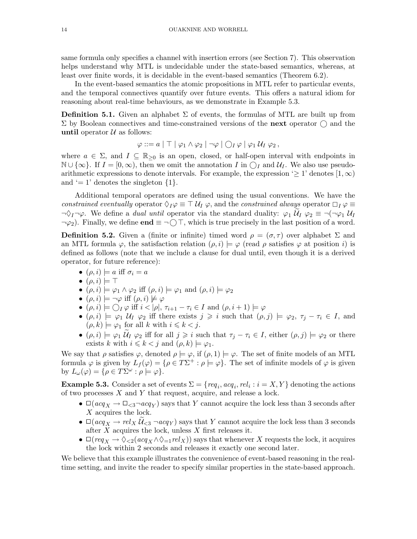same formula only specifies a channel with insertion errors (see Section 7). This observation helps understand why MTL is undecidable under the state-based semantics, whereas, at least over finite words, it is decidable in the event-based semantics (Theorem 6.2).

In the event-based semantics the atomic propositions in MTL refer to particular events, and the temporal connectives quantify over future events. This offers a natural idiom for reasoning about real-time behaviours, as we demonstrate in Example 5.3.

**Definition 5.1.** Given an alphabet  $\Sigma$  of events, the formulas of MTL are built up from  $\Sigma$  by Boolean connectives and time-constrained versions of the next operator  $\bigcap$  and the until operator  $\mathcal U$  as follows:

$$
\varphi ::= a | \top | \varphi_1 \wedge \varphi_2 | \neg \varphi | \bigcirc_I \varphi | \varphi_1 \mathcal{U}_I \varphi_2,
$$

where  $a \in \Sigma$ , and  $I \subseteq \mathbb{R}_{\geq 0}$  is an open, closed, or half-open interval with endpoints in  $\mathbb{N} \cup \{\infty\}$ . If  $I = [0, \infty)$ , then we omit the annotation I in  $\bigcirc_I$  and  $\mathcal{U}_I$ . We also use pseudoarithmetic expressions to denote intervals. For example, the expression ' $\geq 1$ ' denotes  $[1,\infty)$ and  $\prime = 1$ ' denotes the singleton  $\{1\}.$ 

Additional temporal operators are defined using the usual conventions. We have the constrained eventually operator  $\Diamond_I \varphi \equiv \top \mathcal{U}_I \varphi$ , and the constrained always operator  $\Box_I \varphi \equiv$  $\neg \Diamond_I \neg \varphi$ . We define a *dual until* operator via the standard duality:  $\varphi_1 \mathcal{U}_I \varphi_2 \equiv \neg(\neg \varphi_1 \mathcal{U}_I)$  $\neg \varphi_2$ ). Finally, we define **end**  $\equiv \neg \bigcap \top$ , which is true precisely in the last position of a word.

**Definition 5.2.** Given a (finite or infinite) timed word  $\rho = (\sigma, \tau)$  over alphabet  $\Sigma$  and an MTL formula  $\varphi$ , the satisfaction relation  $(\rho, i) \models \varphi$  (read  $\rho$  satisfies  $\varphi$  at position i) is defined as follows (note that we include a clause for dual until, even though it is a derived operator, for future reference):

- $(\rho, i) \models a \text{ iff } \sigma_i = a$
- $\bullet$   $(\rho, i) \models \top$
- $(\rho, i) \models \varphi_1 \land \varphi_2$  iff  $(\rho, i) \models \varphi_1$  and  $(\rho, i) \models \varphi_2$
- $(\rho, i) \models \neg \varphi$  iff  $(\rho, i) \not\models \varphi$
- $\bullet$   $(\rho, i) \models \bigcap_I \varphi$  iff  $i < |\rho|, \tau_{i+1} \tau_i \in I$  and  $(\rho, i + 1) \models \varphi$
- $(\rho, i) \models \varphi_1 \mathcal{U}_I \varphi_2$  iff there exists  $j \geq i$  such that  $(\rho, j) \models \varphi_2, \tau_i \tau_i \in I$ , and  $(\rho, k) \models \varphi_1$  for all k with  $i \leq k < j$ .
- $(\rho, i) \models \varphi_1 \widetilde{\mathcal{U}}_I \varphi_2$  iff for all  $j \geq i$  such that  $\tau_j \tau_i \in I$ , either  $(\rho, j) \models \varphi_2$  or there exists k with  $i \leq k < j$  and  $(\rho, k) \models \varphi_1$ .

We say that  $\rho$  satisfies  $\varphi$ , denoted  $\rho \models \varphi$ , if  $(\rho, 1) \models \varphi$ . The set of finite models of an MTL formula  $\varphi$  is given by  $L_f(\varphi) = \{ \rho \in T\Sigma^+ : \rho \models \varphi \}.$  The set of infinite models of  $\varphi$  is given by  $L_{\omega}(\varphi) = \{ \rho \in T\Sigma^{\omega} : \rho \models \varphi \}.$ 

**Example 5.3.** Consider a set of events  $\Sigma = \{req_i, acq_i, rel_i : i = X, Y \}$  denoting the actions of two processes  $X$  and  $Y$  that request, acquire, and release a lock.

- $\Box (acq_X \rightarrow \Box_{\leq 3} \neg acq_Y)$  says that Y cannot acquire the lock less than 3 seconds after X acquires the lock.
- $\Box (acq_X \rightarrow rel_X \mathcal{U}_{\leq 3} \neg acq_Y)$  says that Y cannot acquire the lock less than 3 seconds after  $X$  acquires the lock, unless  $X$  first releases it.
- $\Box(req_X \to \Diamond_{\leq 2}(acq_X \land \Diamond_{=1} rel_X))$  says that whenever X requests the lock, it acquires the lock within 2 seconds and releases it exactly one second later.

We believe that this example illustrates the convenience of event-based reasoning in the realtime setting, and invite the reader to specify similar properties in the state-based approach.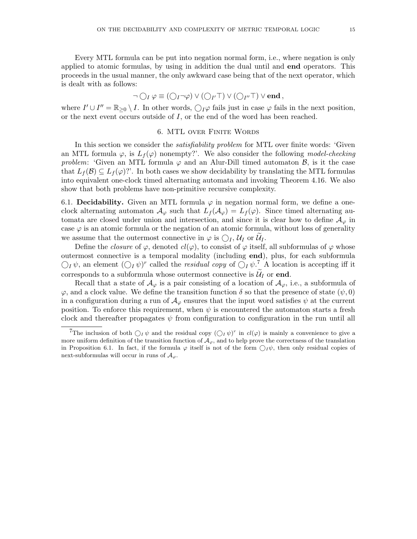Every MTL formula can be put into negation normal form, i.e., where negation is only applied to atomic formulas, by using in addition the dual until and **end** operators. This proceeds in the usual manner, the only awkward case being that of the next operator, which is dealt with as follows:

$$
\neg \bigcirc_I \varphi \equiv (\bigcirc_I \neg \varphi) \vee (\bigcirc_{I'} \top) \vee (\bigcirc_{I''} \top) \vee \mathbf{end},
$$

where  $I' \cup I'' = \mathbb{R}_{\geq 0} \setminus I$ . In other words,  $\bigcirc_{I} \varphi$  fails just in case  $\varphi$  fails in the next position, or the next event occurs outside of  $I$ , or the end of the word has been reached.

## 6. MTL over Finite Words

In this section we consider the satisfiability problem for MTL over finite words: 'Given an MTL formula  $\varphi$ , is  $L_f(\varphi)$  nonempty?'. We also consider the following model-checking problem: 'Given an MTL formula  $\varphi$  and an Alur-Dill timed automaton  $\mathcal{B}$ , is it the case that  $L_f(\mathcal{B}) \subseteq L_f(\varphi)$ ?'. In both cases we show decidability by translating the MTL formulas into equivalent one-clock timed alternating automata and invoking Theorem 4.16. We also show that both problems have non-primitive recursive complexity.

6.1. Decidability. Given an MTL formula  $\varphi$  in negation normal form, we define a oneclock alternating automaton  $\mathcal{A}_{\varphi}$  such that  $L_f(\mathcal{A}_{\varphi}) = L_f(\varphi)$ . Since timed alternating automata are closed under union and intersection, and since it is clear how to define  $\mathcal{A}_{\varphi}$  in case  $\varphi$  is an atomic formula or the negation of an atomic formula, without loss of generality we assume that the outermost connective in  $\varphi$  is  $\bigcap_I, \mathcal{U}_I$  or  $\mathcal{U}_I$ .

Define the *closure* of  $\varphi$ , denoted  $cl(\varphi)$ , to consist of  $\varphi$  itself, all subformulas of  $\varphi$  whose outermost connective is a temporal modality (including end), plus, for each subformula  $\bigcirc_I \psi$ , an element  $(\bigcirc_I \psi)^r$  called the *residual copy* of  $\bigcirc_I \psi$ .<sup>7</sup> A location is accepting iff it corresponds to a subformula whose outermost connective is  $\mathcal{U}_I$  or end.

Recall that a state of  $\mathcal{A}_{\varphi}$  is a pair consisting of a location of  $\mathcal{A}_{\varphi}$ , i.e., a subformula of  $\varphi$ , and a clock value. We define the transition function  $\delta$  so that the presence of state  $(\psi, 0)$ in a configuration during a run of  $\mathcal{A}_{\varphi}$  ensures that the input word satisfies  $\psi$  at the current position. To enforce this requirement, when  $\psi$  is encountered the automaton starts a fresh clock and thereafter propagates  $\psi$  from configuration to configuration in the run until all

<sup>&</sup>lt;sup>7</sup>The inclusion of both  $O_I \psi$  and the residual copy  $(O_I \psi)^r$  in  $cl(\varphi)$  is mainly a convenience to give a more uniform definition of the transition function of  $\mathcal{A}_{\varphi}$ , and to help prove the correctness of the translation in Proposition 6.1. In fact, if the formula  $\varphi$  itself is not of the form  $\bigcirc I\psi$ , then only residual copies of next-subformulas will occur in runs of  $\mathcal{A}_{\varphi}$ .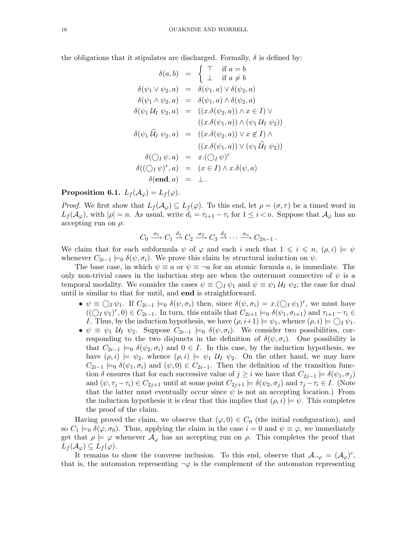the obligations that it stipulates are discharged. Formally,  $\delta$  is defined by:

$$
\delta(a, b) = \begin{cases}\n\top & \text{if } a = b \\
\bot & \text{if } a \neq b\n\end{cases}
$$
\n
$$
\delta(\psi_1 \lor \psi_2, a) = \delta(\psi_1, a) \lor \delta(\psi_2, a)
$$
\n
$$
\delta(\psi_1 \land \psi_2, a) = \delta(\psi_1, a) \land \delta(\psi_2, a)
$$
\n
$$
\delta(\psi_1 U_I \psi_2, a) = ((x.\delta(\psi_2, a)) \land x \in I) \lor ((x.\delta(\psi_1, a)) \land (\psi_1 U_I \psi_2))
$$
\n
$$
\delta(\psi_1 U_I \psi_2, a) = ((x.\delta(\psi_2, a)) \lor x \notin I) \land ((x.\delta(\psi_1, a)) \lor (\psi_1 U_I \psi_2))
$$
\n
$$
\delta(\bigcirc_I \psi, a) = x.(\bigcirc_I \psi)^r
$$
\n
$$
\delta((\bigcirc_I \psi)^r, a) = (x \in I) \land x. \delta(\psi, a)
$$
\n
$$
\delta(\text{end}, a) = \bot.
$$

**Proposition 6.1.**  $L_f(\mathcal{A}_{\varphi}) = L_f(\varphi)$ .

*Proof.* We first show that  $L_f(\mathcal{A}_{\varphi}) \subseteq L_f(\varphi)$ . To this end, let  $\rho = (\sigma, \tau)$  be a timed word in  $L_f(\mathcal{A}_{\varphi})$ , with  $|\rho|=n$ . As usual, write  $d_i=\tau_{i+1}-\tau_i$  for  $1\leq i\leq n$ . Suppose that  $\mathcal{A}_{\varphi}$  has an accepting run on  $\rho$ :

$$
C_0 \xrightarrow{\sigma_1} C_1 \xrightarrow{d_1} C_2 \xrightarrow{\sigma_2} C_3 \xrightarrow{d_2} \cdots \xrightarrow{\sigma_n} C_{2n-1}.
$$

We claim that for each subformula  $\psi$  of  $\varphi$  and each i such that  $1 \leq i \leq n$ ,  $(\rho, i) \models \psi$ whenever  $C_{2i-1} \models_0 \delta(\psi, \sigma_i)$ . We prove this claim by structural induction on  $\psi$ .

The base case, in which  $\psi \equiv a$  or  $\psi \equiv \neg a$  for an atomic formula a, is immediate. The only non-trivial cases in the induction step are when the outermost connective of  $\psi$  is a temporal modality. We consider the cases  $\psi \equiv \bigcirc I \psi_1$  and  $\psi \equiv \psi_1 \mathcal{U}_I \psi_2$ ; the case for dual until is similar to that for until, and end is straightforward.

- $\psi \equiv \bigcirc_I \psi_1$ . If  $C_{2i-1} \models_0 \delta(\psi, \sigma_i)$  then, since  $\delta(\psi, \sigma_i) = x.(\bigcirc_I \psi_1)^r$ , we must have  $((\bigcirc_l \psi_1)^r, 0) \in C_{2i-1}$ . In turn, this entails that  $C_{2i+1} \models_0 \delta(\psi_1, \sigma_{i+1})$  and  $\tau_{i+1} - \tau_i \in$ *I*. Thus, by the induction hypothesis, we have  $(\rho, i+1) \models \psi_1$ , whence  $(\rho, i) \models \bigcirc_I \psi_1$ .
- $\psi \equiv \psi_1 \mathcal{U}_I \psi_2$ . Suppose  $C_{2i-1} \models_0 \delta(\psi, \sigma_i)$ . We consider two possibilities, corresponding to the two disjuncts in the definition of  $\delta(\psi, \sigma_i)$ . One possibility is that  $C_{2i-1} \models_0 \delta(\psi_2, \sigma_i)$  and  $0 \in I$ . In this case, by the induction hypothesis, we have  $(\rho, i) \models \psi_2$ , whence  $(\rho, i) \models \psi_1 \mathcal{U}_1 \psi_2$ . On the other hand, we may have  $C_{2i-1} \models_0 \delta(\psi_1, \sigma_i)$  and  $(\psi, 0) \in C_{2i-1}$ . Then the definition of the transition function  $\delta$  ensures that for each successive value of  $j \geq i$  we have that  $C_{2j-1} \models \delta(\psi_1, \sigma_j)$ and  $(\psi, \tau_j - \tau_i) \in C_{2j+1}$  until at some point  $C_{2j+1} \models \delta(\psi_2, \sigma_j)$  and  $\tau_j - \tau_i \in I$ . (Note that the latter must eventually occur since  $\psi$  is not an accepting location.) From the induction hypothesis it is clear that this implies that  $(\rho, i) \models \psi$ . This completes the proof of the claim.

Having proved the claim, we observe that  $(\varphi, 0) \in C_0$  (the initial configuration), and so  $C_1 \models_0 \delta(\varphi, \sigma_0)$ . Thus, applying the claim in the case  $i = 0$  and  $\psi \equiv \varphi$ , we immediately get that  $\rho \models \varphi$  whenever  $\mathcal{A}_{\varphi}$  has an accepting run on  $\rho$ . This completes the proof that  $L_f(\mathcal{A}_{\varphi}) \subseteq L_f(\varphi).$ 

It remains to show the converse inclusion. To this end, observe that  $\mathcal{A}_{\neg\varphi} = (\mathcal{A}_{\varphi})^c$ , that is, the automaton representing  $\neg \varphi$  is the complement of the automaton representing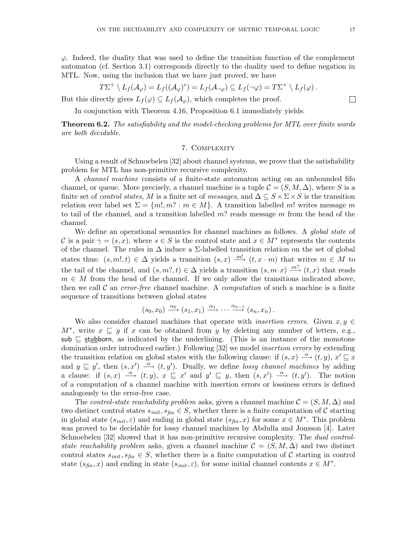$\varphi$ . Indeed, the duality that was used to define the transition function of the complement automaton (cf. Section 3.1) corresponds directly to the duality used to define negation in MTL. Now, using the inclusion that we have just proved, we have

$$
T\Sigma^+\setminus L_f(\mathcal{A}_{\varphi})=L_f((\mathcal{A}_{\varphi})^c)=L_f(\mathcal{A}_{\neg \varphi})\subseteq L_f(\neg \varphi)=T\Sigma^+\setminus L_f(\varphi).
$$

But this directly gives  $L_f(\varphi) \subseteq L_f(\mathcal{A}_{\varphi})$ , which completes the proof.

In conjunction with Theorem 4.16, Proposition 6.1 immediately yields:

**Theorem 6.2.** The satisfiability and the model-checking problems for MTL over finite words are both decidable.

## 7. Complexity

Using a result of Schnoebelen [32] about channel systems, we prove that the satisfiability problem for MTL has non-primitive recursive complexity.

A channel machine consists of a finite-state automaton acting on an unbounded fifo channel, or queue. More precisely, a channel machine is a tuple  $\mathcal{C} = (S, M, \Delta)$ , where S is a finite set of *control states*, M is a finite set of *messages*, and  $\Delta \subseteq S \times \Sigma \times S$  is the transition relation over label set  $\Sigma = \{m, m\}$ :  $m \in M$ . A transition labelled m! writes message m to tail of the channel, and a transition labelled  $m$ ? reads message  $m$  from the head of the channel.

We define an operational semantics for channel machines as follows. A *global state* of C is a pair  $\gamma = (s, x)$ , where  $s \in S$  is the control state and  $x \in M^*$  represents the contents of the channel. The rules in  $\Delta$  induce a  $\Sigma$ -labelled transition relation on the set of global states thus:  $(s, m!, t) \in \Delta$  yields a transition  $(s, x) \stackrel{m!}{\longrightarrow} (t, x \cdot m)$  that writes  $m \in M$  to the tail of the channel, and  $(s, m^2, t) \in \Delta$  yields a transition  $(s, m \cdot x) \stackrel{m^2}{\longrightarrow} (t, x)$  that reads  $m \in M$  from the head of the channel. If we only allow the transitions indicated above, then we call  $\mathcal C$  an *error-free* channel machine. A *computation* of such a machine is a finite sequence of transitions between global states

$$
(s_0,x_0) \xrightarrow{\alpha_0} (s_1,x_1) \xrightarrow{\alpha_1} \cdots \xrightarrow{\alpha_{n-1}} (s_n,x_n).
$$

We also consider channel machines that operate with *insertion errors*. Given  $x, y \in$  $M^*$ , write  $x \subseteq y$  if x can be obtained from y by deleting any number of letters, e.g., sub  $\subseteq$  stubborn, as indicated by the underlining. (This is an instance of the monotone domination order introduced earlier.) Following [32] we model insertion errors by extending the transition relation on global states with the following clause: if  $(s, x) \stackrel{\alpha}{\longrightarrow} (t, y)$ ,  $x' \sqsubseteq x$ and  $y \subseteq y'$ , then  $(s, x') \stackrel{\alpha}{\longrightarrow} (t, y')$ . Dually, we define lossy channel machines by adding a clause: if  $(s, x) \stackrel{\alpha}{\longrightarrow} (t, y)$ ,  $x \sqsubseteq x'$  and  $y' \sqsubseteq y$ , then  $(s, x') \stackrel{\alpha}{\longrightarrow} (t, y')$ . The notion of a computation of a channel machine with insertion errors or lossiness errors is defined analogously to the error-free case.

The control-state reachability problem asks, given a channel machine  $\mathcal{C} = (S, M, \Delta)$  and two distinct control states  $s_{init}, s_{fin} \in S$ , whether there is a finite computation of C starting in global state  $(s_{init}, \varepsilon)$  and ending in global state  $(s_{fin}, x)$  for some  $x \in M^*$ . This problem was proved to be decidable for lossy channel machines by Abdulla and Jonsson [4]. Later Schnoebelen [32] showed that it has non-primitive recursive complexity. The *dual control*state reachability problem asks, given a channel machine  $\mathcal{C} = (S, M, \Delta)$  and two distinct control states  $s_{init}, s_{fin} \in S$ , whether there is a finite computation of C starting in control state  $(s_{fin}, x)$  and ending in state  $(s_{init}, \varepsilon)$ , for some initial channel contents  $x \in M^*$ .

 $\Box$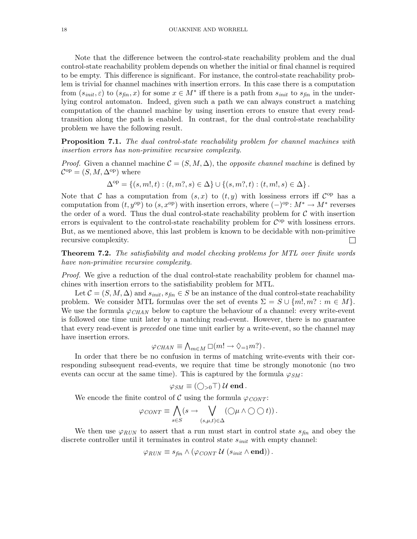Note that the difference between the control-state reachability problem and the dual control-state reachability problem depends on whether the initial or final channel is required to be empty. This difference is significant. For instance, the control-state reachability problem is trivial for channel machines with insertion errors. In this case there is a computation from  $(s_{init}, \varepsilon)$  to  $(s_{fin}, x)$  for some  $x \in M^*$  iff there is a path from  $s_{init}$  to  $s_{fin}$  in the underlying control automaton. Indeed, given such a path we can always construct a matching computation of the channel machine by using insertion errors to ensure that every readtransition along the path is enabled. In contrast, for the dual control-state reachability problem we have the following result.

**Proposition 7.1.** The dual control-state reachability problem for channel machines with insertion errors has non-primitive recursive complexity.

*Proof.* Given a channel machine  $\mathcal{C} = (S, M, \Delta)$ , the *opposite channel machine* is defined by  $\mathcal{C}^{op} = (S, M, \Delta^{op})$  where

$$
\Delta^{\mathrm{op}} = \{ (s, m!, t) : (t, m?, s) \in \Delta \} \cup \{ (s, m?, t) : (t, m!, s) \in \Delta \}.
$$

Note that C has a computation from  $(s, x)$  to  $(t, y)$  with lossiness errors iff  $\mathcal{C}^{\text{op}}$  has a computation from  $(t, y^{\text{op}})$  to  $(s, x^{\text{op}})$  with insertion errors, where  $(-)^{\text{op}}: M^* \to M^*$  reverses the order of a word. Thus the dual control-state reachability problem for  $\mathcal C$  with insertion errors is equivalent to the control-state reachability problem for  $\mathcal{C}^{op}$  with lossiness errors. But, as we mentioned above, this last problem is known to be decidable with non-primitive recursive complexity.  $\Box$ 

**Theorem 7.2.** The satisfiability and model checking problems for MTL over finite words have non-primitive recursive complexity.

Proof. We give a reduction of the dual control-state reachability problem for channel machines with insertion errors to the satisfiability problem for MTL.

Let  $\mathcal{C} = (S, M, \Delta)$  and  $s_{init}, s_{fin} \in S$  be an instance of the dual control-state reachability problem. We consider MTL formulas over the set of events  $\Sigma = S \cup \{m, m\}$ :  $m \in M$ . We use the formula  $\varphi_{CHAN}$  below to capture the behaviour of a channel: every write-event is followed one time unit later by a matching read-event. However, there is no guarantee that every read-event is preceded one time unit earlier by a write-event, so the channel may have insertion errors.

$$
\varphi_{\text{CHAN}} \equiv \bigwedge_{m \in M} \Box (m! \rightarrow \Diamond_{=1} m?).
$$

In order that there be no confusion in terms of matching write-events with their corresponding subsequent read-events, we require that time be strongly monotonic (no two events can occur at the same time). This is captured by the formula  $\varphi_{SM}$ :

$$
\varphi_{SM} \equiv (\bigcirc_{>0} \top) \mathcal{U} \textbf{end}.
$$

We encode the finite control of C using the formula  $\varphi_{CONT}$ :

$$
\varphi_{CONT} \equiv \bigwedge_{s \in S} (s \to \bigvee_{(s,\mu,t) \in \Delta} (\bigcirc \mu \wedge \bigcirc \bigcirc t)).
$$

We then use  $\varphi_{RUN}$  to assert that a run must start in control state  $s_{fin}$  and obey the discrete controller until it terminates in control state  $s_{\text{init}}$  with empty channel:

$$
\varphi_{RUN} \equiv s_{fin} \wedge (\varphi_{CONT} \mathcal{U} (s_{init} \wedge \mathbf{end})).
$$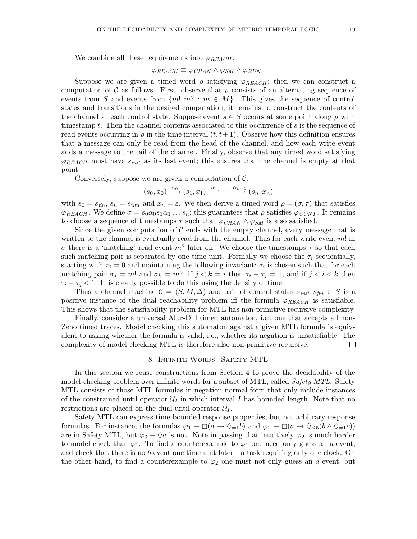#### $\varphi_{REACH} \equiv \varphi_{CHAN} \wedge \varphi_{SM} \wedge \varphi_{RUN}$ .

Suppose we are given a timed word  $\rho$  satisfying  $\varphi_{REACH}$ ; then we can construct a computation of C as follows. First, observe that  $\rho$  consists of an alternating sequence of events from S and events from  $\{m!, m? : m \in M\}$ . This gives the sequence of control states and transitions in the desired computation; it remains to construct the contents of the channel at each control state. Suppose event  $s \in S$  occurs at some point along  $\rho$  with timestamp t. Then the channel contents associated to this occurrence of s is the sequence of read events occurring in  $\rho$  in the time interval  $(t, t+1)$ . Observe how this definition ensures that a message can only be read from the head of the channel, and how each write event adds a message to the tail of the channel. Finally, observe that any timed word satisfying  $\varphi_{REACH}$  must have  $s_{init}$  as its last event; this ensures that the channel is empty at that point.

Conversely, suppose we are given a computation of  $\mathcal{C}$ ,

$$
(s_0, x_0) \xrightarrow{\alpha_0} (s_1, x_1) \xrightarrow{\alpha_1} \cdots \xrightarrow{\alpha_{n-1}} (s_n, x_n)
$$

with  $s_0 = s_{fin}$ ,  $s_n = s_{init}$  and  $x_n = \varepsilon$ . We then derive a timed word  $\rho = (\sigma, \tau)$  that satisfies  $\varphi_{REACH}$ . We define  $\sigma = s_0 \alpha_0 s_1 \alpha_1 \ldots s_n$ ; this guarantees that  $\rho$  satisfies  $\varphi_{CONT}$ . It remains to choose a sequence of timestamps  $\tau$  such that  $\varphi_{CHAN} \wedge \varphi_{SM}$  is also satisfied.

Since the given computation of  $\mathcal C$  ends with the empty channel, every message that is written to the channel is eventually read from the channel. Thus for each write event  $m!$  in σ there is a 'matching' read event m? later on. We choose the timestamps τ so that each such matching pair is separated by one time unit. Formally we choose the  $\tau_i$  sequentially, starting with  $\tau_0 = 0$  and maintaining the following invariant:  $\tau_i$  is chosen such that for each matching pair  $\sigma_j = m!$  and  $\sigma_k = m!$ , if  $j < k = i$  then  $\tau_i - \tau_j = 1$ , and if  $j < i < k$  then  $\tau_i - \tau_j < 1$ . It is clearly possible to do this using the density of time.

Thus a channel machine  $\mathcal{C} = (S, M, \Delta)$  and pair of control states  $s_{init}, s_{fin} \in S$  is a positive instance of the dual reachability problem iff the formula  $\varphi_{REACH}$  is satisfiable. This shows that the satisfiability problem for MTL has non-primitive recursive complexity.

Finally, consider a universal Alur-Dill timed automaton, i.e., one that accepts all non-Zeno timed traces. Model checking this automaton against a given MTL formula is equivalent to asking whether the formula is valid, i.e., whether its negation is unsatisfiable. The complexity of model checking MTL is therefore also non-primitive recursive.  $\Box$ 

## 8. Infinite Words: Safety MTL

In this section we reuse constructions from Section 4 to prove the decidability of the model-checking problem over infinite words for a subset of MTL, called *Safety MTL*. Safety MTL consists of those MTL formulas in negation normal form that only include instances of the constrained until operator  $\mathcal{U}_I$  in which interval I has bounded length. Note that no restrictions are placed on the dual-until operator  $\mathcal{U}_I$ .

Safety MTL can express time-bounded response properties, but not arbitrary response formulas. For instance, the formulas  $\varphi_1 \equiv \Box(a \to \Diamond_{=1}b)$  and  $\varphi_2 \equiv \Box(a \to \Diamond_{\leq 5}(b \land \Diamond_{=1}c))$ are in Safety MTL, but  $\varphi_3 \equiv \Diamond a$  is not. Note in passing that intuitively  $\varphi_2$  is much harder to model check than  $\varphi_1$ . To find a counterexample to  $\varphi_1$  one need only guess an a-event, and check that there is no b-event one time unit later—a task requiring only one clock. On the other hand, to find a counterexample to  $\varphi_2$  one must not only guess an a-event, but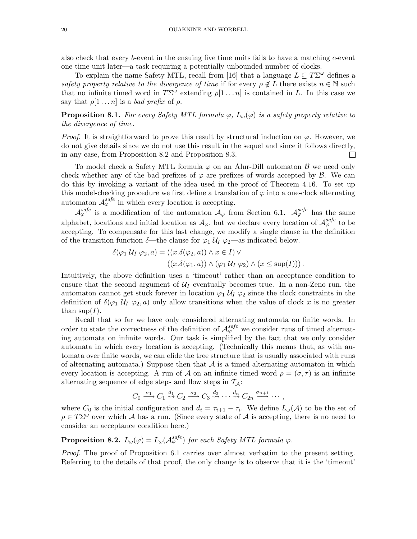also check that every b-event in the ensuing five time units fails to have a matching c-event one time unit later—a task requiring a potentially unbounded number of clocks.

To explain the name Safety MTL, recall from [16] that a language  $L \subseteq T\Sigma^{\omega}$  defines a safety property relative to the divergence of time if for every  $\rho \notin L$  there exists  $n \in \mathbb{N}$  such that no infinite timed word in  $T\Sigma^{\omega}$  extending  $\rho[1 \dots n]$  is contained in L. In this case we say that  $\rho[1 \dots n]$  is a bad prefix of  $\rho$ .

**Proposition 8.1.** For every Safety MTL formula  $\varphi$ ,  $L_{\omega}(\varphi)$  is a safety property relative to the divergence of time.

*Proof.* It is straightforward to prove this result by structural induction on  $\varphi$ . However, we do not give details since we do not use this result in the sequel and since it follows directly, in any case, from Proposition 8.2 and Proposition 8.3. П

To model check a Safety MTL formula  $\varphi$  on an Alur-Dill automaton  $\beta$  we need only check whether any of the bad prefixes of  $\varphi$  are prefixes of words accepted by  $\beta$ . We can do this by invoking a variant of the idea used in the proof of Theorem 4.16. To set up this model-checking procedure we first define a translation of  $\varphi$  into a one-clock alternating automaton  $\mathcal{A}_{\varphi}^{safe}$  in which every location is accepting.

 $\mathcal{A}_{\varphi}^{safe}$  is a modification of the automaton  $\mathcal{A}_{\varphi}$  from Section 6.1.  $\mathcal{A}_{\varphi}^{safe}$  has the same alphabet, locations and initial location as  $\mathcal{A}_{\varphi}$ , but we declare every location of  $\mathcal{A}_{\varphi}^{safe}$  to be accepting. To compensate for this last change, we modify a single clause in the definition of the transition function  $\delta$ —the clause for  $\varphi_1 \mathcal{U}_I \varphi_2$ —as indicated below.

$$
\delta(\varphi_1 \mathcal{U}_I \varphi_2, a) = ((x.\delta(\varphi_2, a)) \wedge x \in I) \vee ((x.\delta(\varphi_1, a)) \wedge (\varphi_1 \mathcal{U}_I \varphi_2) \wedge (x \le \sup(I))).
$$

Intuitively, the above definition uses a 'timeout' rather than an acceptance condition to ensure that the second argument of  $\mathcal{U}_I$  eventually becomes true. In a non-Zeno run, the automaton cannot get stuck forever in location  $\varphi_1 \mathcal{U}_I \varphi_2$  since the clock constraints in the definition of  $\delta(\varphi_1 \mathcal{U}_I \varphi_2, a)$  only allow transitions when the value of clock x is no greater than  $\sup(I)$ .

Recall that so far we have only considered alternating automata on finite words. In order to state the correctness of the definition of  $\mathcal{A}_{\varphi}^{safe}$  we consider runs of timed alternating automata on infinite words. Our task is simplified by the fact that we only consider automata in which every location is accepting. (Technically this means that, as with automata over finite words, we can elide the tree structure that is usually associated with runs of alternating automata.) Suppose then that  $A$  is a timed alternating automaton in which every location is accepting. A run of A on an infinite timed word  $\rho = (\sigma, \tau)$  is an infinite alternating sequence of edge steps and flow steps in  $\mathcal{T}_A$ :

$$
C_0 \xrightarrow{\sigma_1} C_1 \xrightarrow{d_1} C_2 \xrightarrow{\sigma_2} C_3 \xrightarrow{d_2} \cdots \xrightarrow{d_n} C_{2n} \xrightarrow{\sigma_{n+1}} \cdots,
$$

where  $C_0$  is the initial configuration and  $d_i = \tau_{i+1} - \tau_i$ . We define  $L_{\omega}(\mathcal{A})$  to be the set of  $\rho \in T\Sigma^{\omega}$  over which A has a run. (Since every state of A is accepting, there is no need to consider an acceptance condition here.)

**Proposition 8.2.**  $L_{\omega}(\varphi) = L_{\omega}(\mathcal{A}_{\varphi}^{safe})$  for each Safety MTL formula  $\varphi$ .

Proof. The proof of Proposition 6.1 carries over almost verbatim to the present setting. Referring to the details of that proof, the only change is to observe that it is the 'timeout'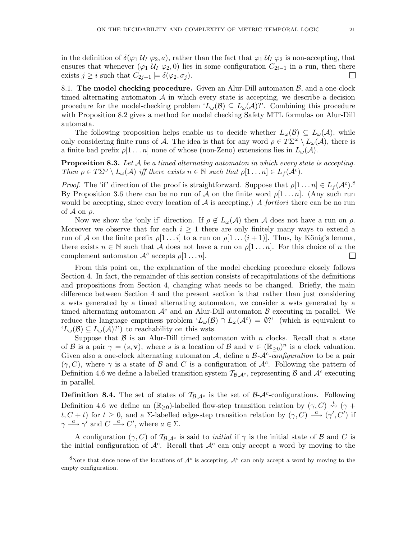in the definition of  $\delta(\varphi_1 \mathcal{U}_I \varphi_2, a)$ , rather than the fact that  $\varphi_1 \mathcal{U}_I \varphi_2$  is non-accepting, that ensures that whenever ( $\varphi_1$  U<sub>I</sub>  $\varphi_2$ , 0) lies in some configuration  $C_{2i-1}$  in a run, then there exists  $j \geq i$  such that  $C_{2j-1} \models \delta(\varphi_2, \sigma_i)$ .  $\Box$ 

8.1. The model checking procedure. Given an Alur-Dill automaton  $\mathcal{B}$ , and a one-clock timed alternating automaton  $A$  in which every state is accepting, we describe a decision procedure for the model-checking problem ' $L_{\omega}(\mathcal{B}) \subseteq L_{\omega}(\mathcal{A})$ ''. Combining this procedure with Proposition 8.2 gives a method for model checking Safety MTL formulas on Alur-Dill automata.

The following proposition helps enable us to decide whether  $L_{\omega}(\mathcal{B}) \subseteq L_{\omega}(\mathcal{A})$ , while only considering finite runs of A. The idea is that for any word  $\rho \in T\Sigma^{\omega} \setminus L_{\omega}(\mathcal{A})$ , there is a finite bad prefix  $\rho[1 \dots n]$  none of whose (non-Zeno) extensions lies in  $L_{\omega}(\mathcal{A}).$ 

**Proposition 8.3.** Let  $A$  be a timed alternating automaton in which every state is accepting. Then  $\rho \in T\Sigma^{\omega} \setminus L_{\omega}(\mathcal{A})$  iff there exists  $n \in \mathbb{N}$  such that  $\rho[1 \dots n] \in L_f(\mathcal{A}^c)$ .

*Proof.* The 'if' direction of the proof is straightforward. Suppose that  $\rho[1 \dots n] \in L_f(\mathcal{A}^c)$ .<sup>8</sup> By Proposition 3.6 there can be no run of A on the finite word  $\rho[1 \dots n]$ . (Any such run would be accepting, since every location of  $A$  is accepting.) A fortiori there can be no run of  $\mathcal A$  on  $\rho$ .

Now we show the 'only if' direction. If  $\rho \notin L_{\omega}(\mathcal{A})$  then A does not have a run on  $\rho$ . Moreover we observe that for each  $i \geq 1$  there are only finitely many ways to extend a run of A on the finite prefix  $\rho[1 \dots i]$  to a run on  $\rho[1 \dots (i+1)]$ . Thus, by König's lemma, there exists  $n \in \mathbb{N}$  such that A does not have a run on  $\rho[1 \dots n]$ . For this choice of n the complement automaton  $\mathcal{A}^c$  accepts  $\rho[1 \dots n]$ . П

From this point on, the explanation of the model checking procedure closely follows Section 4. In fact, the remainder of this section consists of recapitulations of the definitions and propositions from Section 4, changing what needs to be changed. Briefly, the main difference between Section 4 and the present section is that rather than just considering a wsts generated by a timed alternating automaton, we consider a wsts generated by a timed alternating automaton  $\mathcal{A}^c$  and an Alur-Dill automaton  $\mathcal B$  executing in parallel. We reduce the language emptiness problem ' $L_{\omega}(\mathcal{B}) \cap L_{\omega}(\mathcal{A}^c) = \emptyset$ ?' (which is equivalent to  $'L_{\omega}(\mathcal{B}) \subseteq L_{\omega}(\mathcal{A})$ ?') to reachability on this wsts.

Suppose that  $\beta$  is an Alur-Dill timed automaton with n clocks. Recall that a state of B is a pair  $\gamma = (s, \mathbf{v})$ , where s is a location of B and  $\mathbf{v} \in (\mathbb{R}_{\geq 0})^n$  is a clock valuation. Given also a one-clock alternating automaton A, define a  $\beta-\mathcal{A}^c$ -configuration to be a pair  $(\gamma, C)$ , where  $\gamma$  is a state of  $\beta$  and  $C$  is a configuration of  $\mathcal{A}^c$ . Following the pattern of Definition 4.6 we define a labelled transition system  $\mathcal{T}_{\mathcal{B},\mathcal{A}^c}$ , representing  $\mathcal{B}$  and  $\mathcal{A}^c$  executing in parallel.

**Definition 8.4.** The set of states of  $\mathcal{T}_{\mathcal{B},\mathcal{A}^c}$  is the set of  $\mathcal{B}-\mathcal{A}^c$ -configurations. Following Definition 4.6 we define an  $(\mathbb{R}_{\geq 0})$ -labelled flow-step transition relation by  $(\gamma, C) \stackrel{t}{\leadsto} (\gamma +$ t,  $C + t$ ) for  $t \geq 0$ , and a  $\Sigma$ -labelled edge-step transition relation by  $(\gamma, C) \stackrel{a}{\longrightarrow} (\gamma', C')$  if  $\gamma \stackrel{a}{\longrightarrow} \gamma'$  and  $C \stackrel{a}{\longrightarrow} C'$ , where  $a \in \Sigma$ .

A configuration  $(\gamma, C)$  of  $\mathcal{T}_{\mathcal{B}, \mathcal{A}^c}$  is said to *initial* if  $\gamma$  is the initial state of  $\mathcal{B}$  and  $C$  is the initial configuration of  $\mathcal{A}^c$ . Recall that  $\mathcal{A}^c$  can only accept a word by moving to the

<sup>&</sup>lt;sup>8</sup>Note that since none of the locations of  $A^c$  is accepting,  $A^c$  can only accept a word by moving to the empty configuration.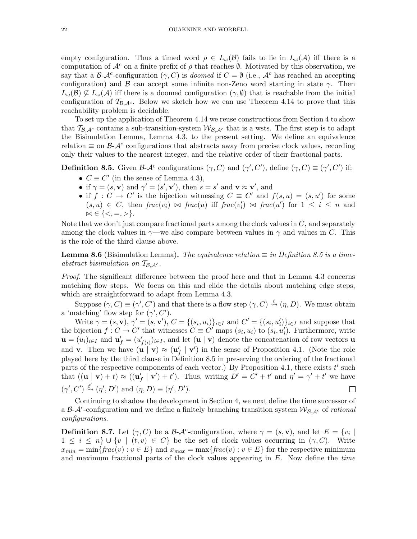empty configuration. Thus a timed word  $\rho \in L_{\omega}(\mathcal{B})$  fails to lie in  $L_{\omega}(\mathcal{A})$  iff there is a computation of  $\mathcal{A}^c$  on a finite prefix of  $\rho$  that reaches  $\emptyset$ . Motivated by this observation, we say that a B- $\mathcal{A}^c$ -configuration  $(\gamma, C)$  is *doomed* if  $C = \emptyset$  (i.e.,  $\mathcal{A}^c$  has reached an accepting configuration) and B can accept some infinite non-Zeno word starting in state  $\gamma$ . Then  $L_{\omega}(\mathcal{B}) \nsubseteq L_{\omega}(\mathcal{A})$  iff there is a doomed configuration  $(\gamma, \emptyset)$  that is reachable from the initial configuration of  $T_{\beta,\mathcal{A}^c}$ . Below we sketch how we can use Theorem 4.14 to prove that this reachability problem is decidable.

To set up the application of Theorem 4.14 we reuse constructions from Section 4 to show that  $T_{\mathcal{B},\mathcal{A}^c}$  contains a sub-transition-system  $\mathcal{W}_{\mathcal{B},\mathcal{A}^c}$  that is a wsts. The first step is to adapt the Bisimulation Lemma, Lemma 4.3, to the present setting. We define an equivalence relation  $\equiv$  on  $\beta$ - $\mathcal{A}^c$  configurations that abstracts away from precise clock values, recording only their values to the nearest integer, and the relative order of their fractional parts.

**Definition 8.5.** Given  $\mathcal{B}\text{-}\mathcal{A}^c$  configurations  $(\gamma, C)$  and  $(\gamma', C')$ , define  $(\gamma, C) \equiv (\gamma', C')$  if:

- $C \equiv C'$  (in the sense of Lemma 4.3),
- if  $\gamma = (s, \mathbf{v})$  and  $\gamma' = (s', \mathbf{v}'),$  then  $s = s'$  and  $\mathbf{v} \approx \mathbf{v}',$  and
- if  $f: C \to C'$  is the bijection witnessing  $C \equiv C'$  and  $f(s, u) = (s, u')$  for some  $(s, u) \in C$ , then  $frac(v_i) \bowtie frac(u)$  iff  $frac(v'_i) \bowtie frac(u')$  for  $1 \leq i \leq n$  and  $\bowtie \in \{<, =, >\}.$

Note that we don't just compare fractional parts among the clock values in  $C$ , and separately among the clock values in  $\gamma$ —we also compare between values in  $\gamma$  and values in C. This is the role of the third clause above.

**Lemma 8.6** (Bisimulation Lemma). The equivalence relation  $\equiv$  in Definition 8.5 is a timeabstract bisimulation on  $\mathcal{T}_{\mathcal{B},\mathcal{A}^c}$ .

Proof. The significant difference between the proof here and that in Lemma 4.3 concerns matching flow steps. We focus on this and elide the details about matching edge steps, which are straightforward to adapt from Lemma 4.3.

Suppose  $(\gamma, C) \equiv (\gamma', C')$  and that there is a flow step  $(\gamma, C) \stackrel{t}{\leadsto} (\eta, D)$ . We must obtain a 'matching' flow step for  $(\gamma', C')$ .

Write  $\gamma = (s, \mathbf{v}), \gamma' = (s, \mathbf{v}'), C = \{(s_i, u_i)\}_{i \in I}$  and  $C' = \{(s_i, u'_i)\}_{i \in I}$  and suppose that the bijection  $f: C \to C'$  that witnesses  $C \equiv C'$  maps  $(s_i, u_i)$  to  $(s_i, u'_i)$ . Furthermore, write  $\mathbf{u} = (u_i)_{i \in I}$  and  $\mathbf{u}'_f = (u'_j)$  $f_{(i)}|_{i\in I}$ , and let  $(\mathbf{u} \mid \mathbf{v})$  denote the concatenation of row vectors **u** and **v**. Then we have  $(\mathbf{u} \mid \mathbf{v}) \approx (\mathbf{u}'_f \mid \mathbf{v}')$  in the sense of Proposition 4.1. (Note the role played here by the third clause in Definition 8.5 in preserving the ordering of the fractional parts of the respective components of each vector.) By Proposition 4.1, there exists  $t'$  such that  $((\mathbf{u} \mid \mathbf{v}) + t) \approx ((\mathbf{u}'_f \mid \mathbf{v}') + t')$ . Thus, writing  $D' = C' + t'$  and  $\eta' = \gamma' + t'$  we have  $(\gamma', C') \stackrel{t'}{\rightsquigarrow} (\eta', D')$  and  $(\eta, D) \equiv (\eta', D')$ .  $\Box$ 

Continuing to shadow the development in Section 4, we next define the time successor of a  $\beta-\mathcal{A}^c$ -configuration and we define a finitely branching transition system  $\mathcal{W}_{\beta,\mathcal{A}^c}$  of rational configurations.

**Definition 8.7.** Let  $(\gamma, C)$  be a  $\beta$ - $\mathcal{A}^c$ -configuration, where  $\gamma = (s, \mathbf{v})$ , and let  $E = \{v_i \mid$  $1 \leq i \leq n$   $\cup$   $\{v \mid (t, v) \in C\}$  be the set of clock values occurring in  $(\gamma, C)$ . Write  $x_{min} = \min\{frac(v): v \in E\}$  and  $x_{max} = \max\{frac(v): v \in E\}$  for the respective minimum and maximum fractional parts of the clock values appearing in  $E$ . Now define the *time*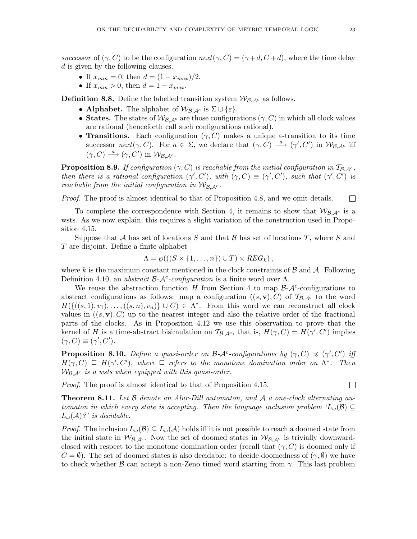successor of  $(\gamma, C)$  to be the configuration  $next(\gamma, C) = (\gamma + d, C + d)$ , where the time delay d is given by the following clauses.

- If  $x_{min} = 0$ , then  $d = (1 x_{max})/2$ .
- If  $x_{min} > 0$ , then  $d = 1 x_{max}$ .

**Definition 8.8.** Define the labelled transition system  $W_{\mathcal{B},\mathcal{A}^c}$  as follows.

- Alphabet. The alphabet of  $\mathcal{W}_{\mathcal{B},\mathcal{A}^c}$  is  $\Sigma \cup \{\varepsilon\}.$
- States. The states of  $W_{\mathcal{B},\mathcal{A}^c}$  are those configurations  $(\gamma, C)$  in which all clock values are rational (henceforth call such configurations rational).
- Transitions. Each configuration  $(\gamma, C)$  makes a unique  $\varepsilon$ -transition to its time successor  $next(\gamma, C)$ . For  $a \in \Sigma$ , we declare that  $(\gamma, C) \stackrel{a}{\longrightarrow} (\gamma', C')$  in  $W_{\mathcal{B}, \mathcal{A}^c}$  iff  $(\gamma, C) \stackrel{a}{\longrightarrow} (\gamma, C')$  in  $\mathcal{W}_{\mathcal{B}, \mathcal{A}^c}$ .

**Proposition 8.9.** If configuration  $(\gamma, C)$  is reachable from the initial configuration in  $T_{\beta,\mathcal{A}^c}$ , then there is a rational configuration  $(\gamma', C')$ , with  $(\gamma, C) \equiv (\gamma', C')$ , such that  $(\gamma', C')$  is reachable from the initial configuration in  $\mathcal{W}_{\mathcal{B},\mathcal{A}^c}$ .

Proof. The proof is almost identical to that of Proposition 4.8, and we omit details.  $\Box$ 

To complete the correspondence with Section 4, it remains to show that  $W_{\mathcal{B},\mathcal{A}^c}$  is a wsts. As we now explain, this requires a slight variation of the construction used in Proposition 4.15.

Suppose that  $A$  has set of locations  $S$  and that  $B$  has set of locations  $T$ , where  $S$  and T are disjoint. Define a finite alphabet

$$
\Lambda = \wp(((S \times \{1, ..., n\}) \cup T) \times REG_k),
$$

where k is the maximum constant mentioned in the clock constraints of  $\beta$  and  $\mathcal{A}$ . Following Definition 4.10, an abstract  $\beta-\mathcal{A}^c$ -configuration is a finite word over  $\Lambda$ .

We reuse the abstraction function  $H$  from Section 4 to map  $\mathcal{B}\text{-}\mathcal{A}^c$ -configurations to abstract configurations as follows: map a configuration  $((s, v), C)$  of  $\mathcal{T}_{\mathcal{B}, A^c}$  to the word  $H(\{((s,1), v_1), \ldots, ((s, n), v_n)\} \cup C) \in \Lambda^*$ . From this word we can reconstruct all clock values in  $((s, v), C)$  up to the nearest integer and also the relative order of the fractional parts of the clocks. As in Proposition 4.12 we use this observation to prove that the kernel of H is a time-abstract bisimulation on  $\mathcal{T}_{\mathcal{B},\mathcal{A}^c}$ , that is,  $H(\gamma, C) = H(\gamma', C')$  implies  $(\gamma, C) \equiv (\gamma', C').$ 

**Proposition 8.10.** Define a quasi-order on  $\mathcal{B}-\mathcal{A}^c$ -configurations by  $(\gamma, C) \preccurlyeq (\gamma', C')$  iff  $H(\gamma, C) \subseteq H(\gamma', C')$ , where  $\subseteq$  refers to the monotone domination order on  $\Lambda^*$ . Then  $W_{\mathcal{B},\mathcal{A}^c}$  is a wsts when equipped with this quasi-order.

Proof. The proof is almost identical to that of Proposition 4.15.

 $\Box$ 

**Theorem 8.11.** Let  $\beta$  denote an Alur-Dill automaton, and  $\mathcal A$  a one-clock alternating automaton in which every state is accepting. Then the language inclusion problem  $'L_\omega(\mathcal{B}) \subseteq$  $L_{\omega}(\mathcal{A})$ ?' is decidable.

*Proof.* The inclusion  $L_{\omega}(\mathcal{B}) \subseteq L_{\omega}(\mathcal{A})$  holds iff it is not possible to reach a doomed state from the initial state in  $W_{\mathcal{B},\mathcal{A}^c}$ . Now the set of doomed states in  $W_{\mathcal{B},\mathcal{A}^c}$  is trivially downwardclosed with respect to the monotone domination order (recall that  $(\gamma, C)$  is doomed only if  $C = \emptyset$ ). The set of doomed states is also decidable: to decide doomedness of  $(\gamma, \emptyset)$  we have to check whether  $\beta$  can accept a non-Zeno timed word starting from  $\gamma$ . This last problem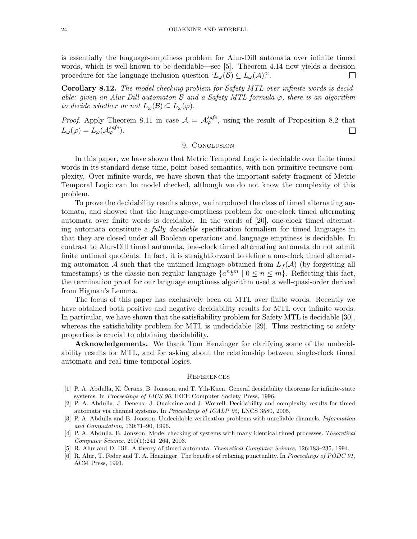is essentially the language-emptiness problem for Alur-Dill automata over infinite timed words, which is well-known to be decidable—see [5]. Theorem 4.14 now yields a decision procedure for the language inclusion question ' $L_{\omega}(\mathcal{B}) \subseteq L_{\omega}(\mathcal{A})$ ''.  $\Box$ 

Corollary 8.12. The model checking problem for Safety MTL over infinite words is decidable: given an Alur-Dill automaton  $\beta$  and a Safety MTL formula  $\varphi$ , there is an algorithm to decide whether or not  $L_{\omega}(\mathcal{B}) \subseteq L_{\omega}(\varphi)$ .

*Proof.* Apply Theorem 8.11 in case  $A = A_{\varphi}^{safe}$ , using the result of Proposition 8.2 that  $L_{\omega}(\varphi)=L_{\omega}(\mathcal{A}^{safe}_{\varphi}).$  $\Box$ 

### 9. CONCLUSION

In this paper, we have shown that Metric Temporal Logic is decidable over finite timed words in its standard dense-time, point-based semantics, with non-primitive recursive complexity. Over infinite words, we have shown that the important safety fragment of Metric Temporal Logic can be model checked, although we do not know the complexity of this problem.

To prove the decidability results above, we introduced the class of timed alternating automata, and showed that the language-emptiness problem for one-clock timed alternating automata over finite words is decidable. In the words of [20], one-clock timed alternating automata constitute a fully decidable specification formalism for timed languages in that they are closed under all Boolean operations and language emptiness is decidable. In contrast to Alur-Dill timed automata, one-clock timed alternating automata do not admit finite untimed quotients. In fact, it is straightforward to define a one-clock timed alternating automaton A such that the untimed language obtained from  $L_f(\mathcal{A})$  (by forgetting all timestamps) is the classic non-regular language  $\{a^n b^m \mid 0 \leq n \leq m\}$ . Reflecting this fact, the termination proof for our language emptiness algorithm used a well-quasi-order derived from Higman's Lemma.

The focus of this paper has exclusively been on MTL over finite words. Recently we have obtained both positive and negative decidability results for MTL over infinite words. In particular, we have shown that the satisfiability problem for Safety MTL is decidable [30], whereas the satisfiability problem for MTL is undecidable [29]. Thus restricting to safety properties is crucial to obtaining decidability.

Acknowledgements. We thank Tom Henzinger for clarifying some of the undecidability results for MTL, and for asking about the relationship between single-clock timed automata and real-time temporal logics.

#### **REFERENCES**

- [1] P. A. Abdulla, K. Čerāns, B. Jonsson, and T. Yih-Kuen. General decidability theorems for infinite-state systems. In Proceedings of LICS 96, IEEE Computer Society Press, 1996.
- [2] P. A. Abdulla, J. Deneux, J. Ouaknine and J. Worrell. Decidability and complexity results for timed automata via channel systems. In Proceedings of ICALP 05, LNCS 3580, 2005.
- [3] P. A. Abdulla and B. Jonsson. Undecidable verification problems with unreliable channels. Information and Computation, 130:71–90, 1996.
- [4] P. A. Abdulla, B. Jonsson. Model checking of systems with many identical timed processes. Theoretical Computer Science. 290(1):241–264, 2003.
- [5] R. Alur and D. Dill. A theory of timed automata. Theoretical Computer Science, 126:183–235, 1994.
- [6] R. Alur, T. Feder and T. A. Henzinger. The benefits of relaxing punctuality. In Proceedings of PODC 91, ACM Press, 1991.